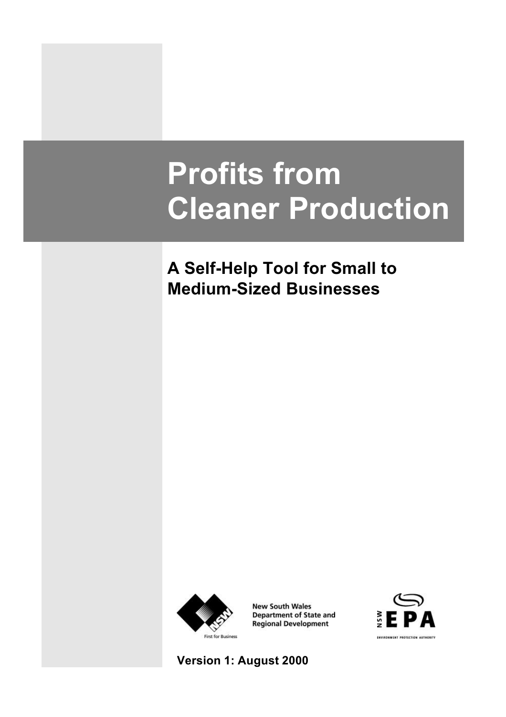### **Profits from Cleaner Production**

### **A Self-Help Tool for Small to Medium-Sized Businesses**



**New South Wales Department of State and Regional Development** 



**Version 1: August 2000**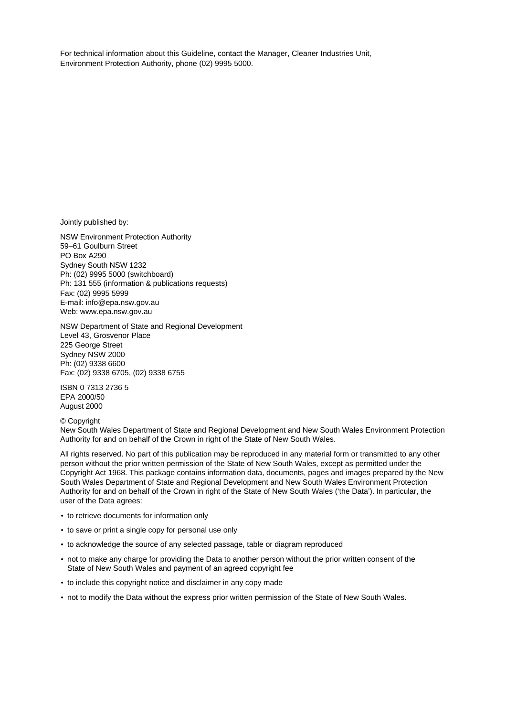For technical information about this Guideline, contact the Manager, Cleaner Industries Unit, Environment Protection Authority, phone (02) 9995 5000.

Jointly published by:

NSW Environment Protection Authority 59–61 Goulburn Street PO Box A290 Sydney South NSW 1232 Ph: (02) 9995 5000 (switchboard) Ph: 131 555 (information & publications requests) Fax: (02) 9995 5999 E-mail: info@epa.nsw.gov.au Web: www.epa.nsw.gov.au

NSW Department of State and Regional Development Level 43, Grosvenor Place 225 George Street Sydney NSW 2000 Ph: (02) 9338 6600 Fax: (02) 9338 6705, (02) 9338 6755

ISBN 0 7313 2736 5 EPA 2000/50 August 2000

© Copyright New South Wales Department of State and Regional Development and New South Wales Environment Protection Authority for and on behalf of the Crown in right of the State of New South Wales.

All rights reserved. No part of this publication may be reproduced in any material form or transmitted to any other person without the prior written permission of the State of New South Wales, except as permitted under the Copyright Act 1968. This package contains information data, documents, pages and images prepared by the New South Wales Department of State and Regional Development and New South Wales Environment Protection Authority for and on behalf of the Crown in right of the State of New South Wales ('the Data'). In particular, the user of the Data agrees:

- to retrieve documents for information only
- to save or print a single copy for personal use only
- to acknowledge the source of any selected passage, table or diagram reproduced
- not to make any charge for providing the Data to another person without the prior written consent of the State of New South Wales and payment of an agreed copyright fee
- to include this copyright notice and disclaimer in any copy made
- not to modify the Data without the express prior written permission of the State of New South Wales.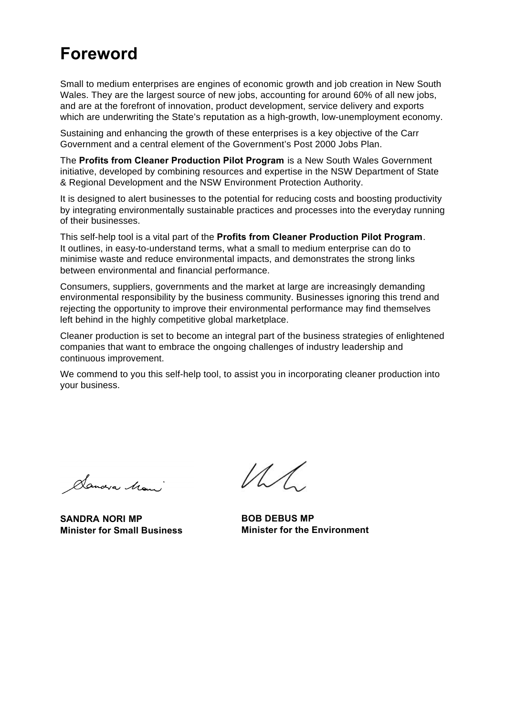### **Foreword**

Small to medium enterprises are engines of economic growth and job creation in New South Wales. They are the largest source of new jobs, accounting for around 60% of all new jobs, and are at the forefront of innovation, product development, service delivery and exports which are underwriting the State's reputation as a high-growth, low-unemployment economy.

Sustaining and enhancing the growth of these enterprises is a key objective of the Carr Government and a central element of the Government's Post 2000 Jobs Plan.

The **Profits from Cleaner Production Pilot Program** is a New South Wales Government initiative, developed by combining resources and expertise in the NSW Department of State & Regional Development and the NSW Environment Protection Authority.

It is designed to alert businesses to the potential for reducing costs and boosting productivity by integrating environmentally sustainable practices and processes into the everyday running of their businesses.

This self-help tool is a vital part of the **Profits from Cleaner Production Pilot Program**. It outlines, in easy-to-understand terms, what a small to medium enterprise can do to minimise waste and reduce environmental impacts, and demonstrates the strong links between environmental and financial performance.

Consumers, suppliers, governments and the market at large are increasingly demanding environmental responsibility by the business community. Businesses ignoring this trend and rejecting the opportunity to improve their environmental performance may find themselves left behind in the highly competitive global marketplace.

Cleaner production is set to become an integral part of the business strategies of enlightened companies that want to embrace the ongoing challenges of industry leadership and continuous improvement.

We commend to you this self-help tool, to assist you in incorporating cleaner production into your business.

Sandra Mani

**SANDRA NORI MP Minister for Small Business**

 $\mathcal{U}$ 

**BOB DEBUS MP Minister for the Environment**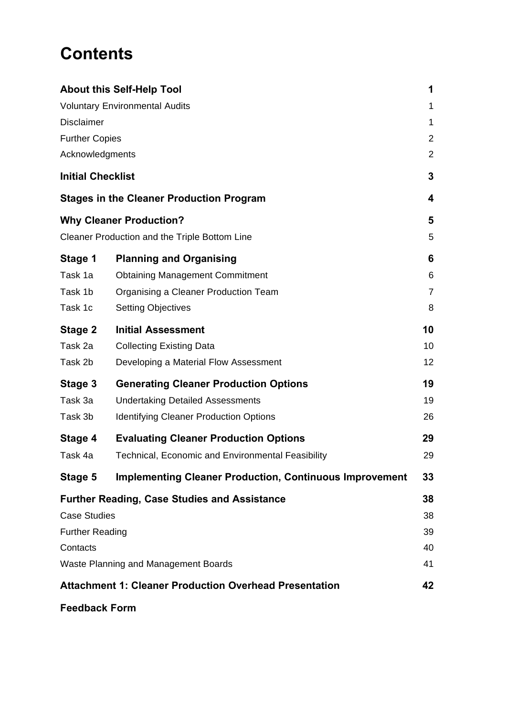### **Contents**

| <b>About this Self-Help Tool</b>      |                                                                |    |  |  |
|---------------------------------------|----------------------------------------------------------------|----|--|--|
| <b>Voluntary Environmental Audits</b> |                                                                |    |  |  |
| <b>Disclaimer</b>                     |                                                                |    |  |  |
| <b>Further Copies</b>                 |                                                                |    |  |  |
| Acknowledgments                       |                                                                | 2  |  |  |
| <b>Initial Checklist</b>              |                                                                | 3  |  |  |
|                                       | <b>Stages in the Cleaner Production Program</b>                | 4  |  |  |
|                                       | <b>Why Cleaner Production?</b>                                 | 5  |  |  |
|                                       | Cleaner Production and the Triple Bottom Line                  | 5  |  |  |
| Stage 1                               | <b>Planning and Organising</b>                                 | 6  |  |  |
| Task 1a                               | <b>Obtaining Management Commitment</b>                         | 6  |  |  |
| Task 1b                               | Organising a Cleaner Production Team                           | 7  |  |  |
| Task 1c                               | <b>Setting Objectives</b>                                      | 8  |  |  |
| Stage 2                               | <b>Initial Assessment</b>                                      | 10 |  |  |
| Task 2a                               | <b>Collecting Existing Data</b>                                | 10 |  |  |
| Task 2b                               | Developing a Material Flow Assessment                          | 12 |  |  |
| Stage 3                               | <b>Generating Cleaner Production Options</b>                   | 19 |  |  |
| Task 3a                               | <b>Undertaking Detailed Assessments</b>                        | 19 |  |  |
| Task 3b                               | <b>Identifying Cleaner Production Options</b>                  | 26 |  |  |
| Stage 4                               | <b>Evaluating Cleaner Production Options</b>                   | 29 |  |  |
| Task 4a                               | <b>Technical, Economic and Environmental Feasibility</b>       | 29 |  |  |
| Stage 5                               | <b>Implementing Cleaner Production, Continuous Improvement</b> | 33 |  |  |
|                                       | Further Reading, Case Studies and Assistance                   | 38 |  |  |
| <b>Case Studies</b>                   |                                                                | 38 |  |  |
| <b>Further Reading</b>                |                                                                | 39 |  |  |
| Contacts                              |                                                                | 40 |  |  |
| Waste Planning and Management Boards  |                                                                |    |  |  |
|                                       | <b>Attachment 1: Cleaner Production Overhead Presentation</b>  | 42 |  |  |
| <b>Feedback Form</b>                  |                                                                |    |  |  |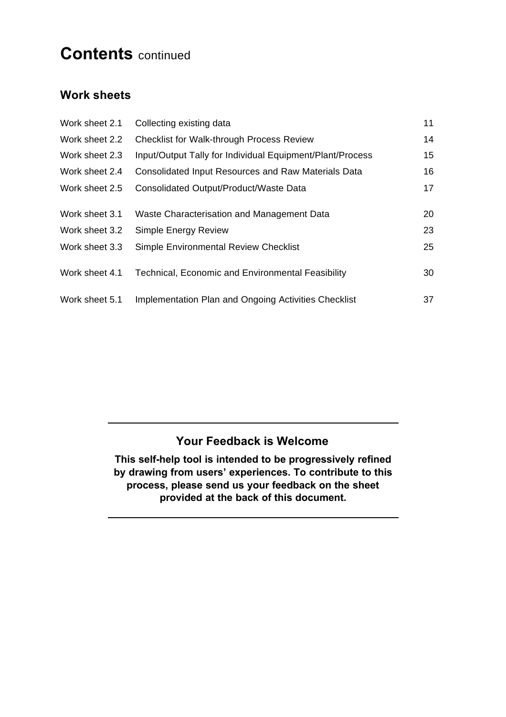### **Contents** continued

#### **Work sheets**

| Work sheet 2.1 | Collecting existing data                                   | 11 |
|----------------|------------------------------------------------------------|----|
| Work sheet 2.2 | <b>Checklist for Walk-through Process Review</b>           | 14 |
| Work sheet 2.3 | Input/Output Tally for Individual Equipment/Plant/Process  | 15 |
| Work sheet 2.4 | <b>Consolidated Input Resources and Raw Materials Data</b> | 16 |
| Work sheet 2.5 | Consolidated Output/Product/Waste Data                     | 17 |
|                |                                                            |    |
| Work sheet 3.1 | Waste Characterisation and Management Data                 | 20 |
| Work sheet 3.2 | Simple Energy Review                                       | 23 |
| Work sheet 3.3 | Simple Environmental Review Checklist                      | 25 |
| Work sheet 4.1 | Technical, Economic and Environmental Feasibility          | 30 |
| Work sheet 5.1 | Implementation Plan and Ongoing Activities Checklist       | 37 |

#### **Your Feedback is Welcome**

**This self-help tool is intended to be progressively refined by drawing from users' experiences. To contribute to this process, please send us your feedback on the sheet provided at the back of this document.**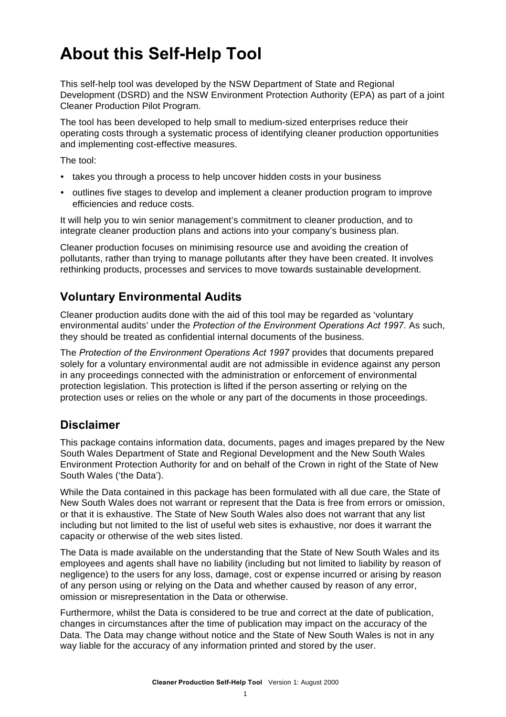### **About this Self-Help Tool**

This self-help tool was developed by the NSW Department of State and Regional Development (DSRD) and the NSW Environment Protection Authority (EPA) as part of a joint Cleaner Production Pilot Program.

The tool has been developed to help small to medium-sized enterprises reduce their operating costs through a systematic process of identifying cleaner production opportunities and implementing cost-effective measures.

The tool:

- takes you through a process to help uncover hidden costs in your business
- outlines five stages to develop and implement a cleaner production program to improve efficiencies and reduce costs.

It will help you to win senior management's commitment to cleaner production, and to integrate cleaner production plans and actions into your company's business plan.

Cleaner production focuses on minimising resource use and avoiding the creation of pollutants, rather than trying to manage pollutants after they have been created. It involves rethinking products, processes and services to move towards sustainable development.

#### **Voluntary Environmental Audits**

Cleaner production audits done with the aid of this tool may be regarded as 'voluntary environmental audits' under the *Protection of the Environment Operations Act 1997*. As such, they should be treated as confidential internal documents of the business.

The *Protection of the Environment Operations Act 1997* provides that documents prepared solely for a voluntary environmental audit are not admissible in evidence against any person in any proceedings connected with the administration or enforcement of environmental protection legislation. This protection is lifted if the person asserting or relying on the protection uses or relies on the whole or any part of the documents in those proceedings.

#### **Disclaimer**

This package contains information data, documents, pages and images prepared by the New South Wales Department of State and Regional Development and the New South Wales Environment Protection Authority for and on behalf of the Crown in right of the State of New South Wales ('the Data').

While the Data contained in this package has been formulated with all due care, the State of New South Wales does not warrant or represent that the Data is free from errors or omission, or that it is exhaustive. The State of New South Wales also does not warrant that any list including but not limited to the list of useful web sites is exhaustive, nor does it warrant the capacity or otherwise of the web sites listed.

The Data is made available on the understanding that the State of New South Wales and its employees and agents shall have no liability (including but not limited to liability by reason of negligence) to the users for any loss, damage, cost or expense incurred or arising by reason of any person using or relying on the Data and whether caused by reason of any error, omission or misrepresentation in the Data or otherwise.

Furthermore, whilst the Data is considered to be true and correct at the date of publication, changes in circumstances after the time of publication may impact on the accuracy of the Data. The Data may change without notice and the State of New South Wales is not in any way liable for the accuracy of any information printed and stored by the user.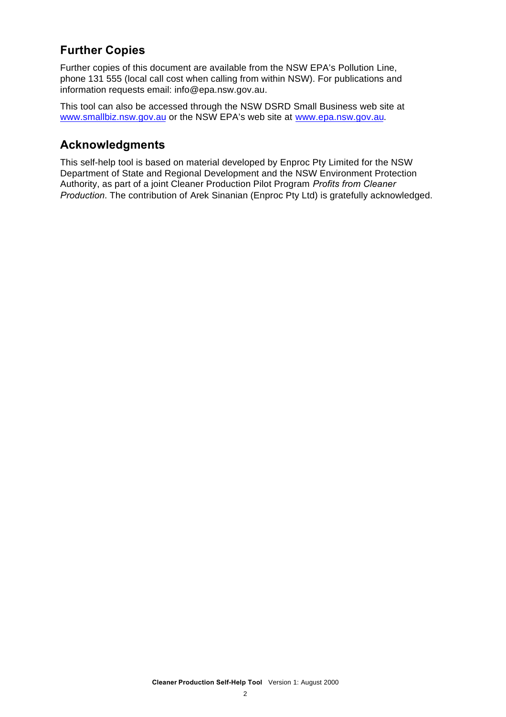#### **Further Copies**

Further copies of this document are available from the NSW EPA's Pollution Line, phone 131 555 (local call cost when calling from within NSW). For publications and information requests email: info@epa.nsw.gov.au.

This tool can also be accessed through the NSW DSRD Small Business web site at www.smallbiz.nsw.gov.au or the NSW EPA's web site at www.epa.nsw.gov.au.

#### **Acknowledgments**

This self-help tool is based on material developed by Enproc Pty Limited for the NSW Department of State and Regional Development and the NSW Environment Protection Authority, as part of a joint Cleaner Production Pilot Program *Profits from Cleaner Production*. The contribution of Arek Sinanian (Enproc Pty Ltd) is gratefully acknowledged.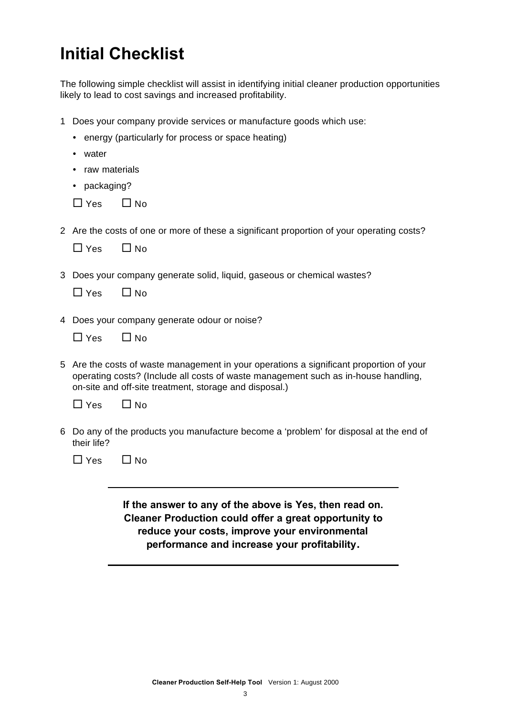### **Initial Checklist**

The following simple checklist will assist in identifying initial cleaner production opportunities likely to lead to cost savings and increased profitability.

- 1 Does your company provide services or manufacture goods which use:
	- energy (particularly for process or space heating)
	- water
	- raw materials
	- packaging?
	- $\Box$  Yes  $\Box$  No
- 2 Are the costs of one or more of these a significant proportion of your operating costs?

| l Yes | ∟l No |
|-------|-------|
|-------|-------|

3 Does your company generate solid, liquid, gaseous or chemical wastes?

| $\Box$ Yes | $\square$ No |
|------------|--------------|
|------------|--------------|

- 4 Does your company generate odour or noise?
	- $\Box$  Yes  $\Box$  No
- 5 Are the costs of waste management in your operations a significant proportion of your operating costs? (Include all costs of waste management such as in-house handling, on-site and off-site treatment, storage and disposal.)

| $\Box$ Yes | $\Box$ No |
|------------|-----------|
|------------|-----------|

- 6 Do any of the products you manufacture become a 'problem' for disposal at the end of their life?
	- $\Box$  Yes  $\Box$  No

**If the answer to any of the above is Yes, then read on. Cleaner Production could offer a great opportunity to reduce your costs, improve your environmental performance and increase your profitability.**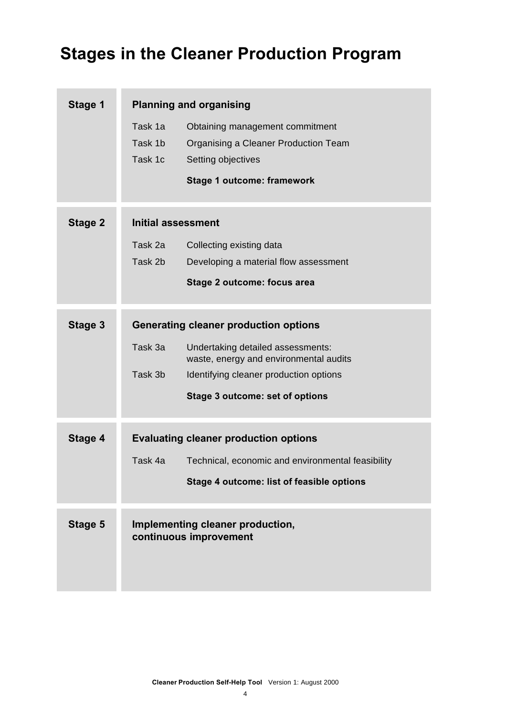### **Stages in the Cleaner Production Program**

۰

| Stage 1        | <b>Planning and organising</b> |                                                                             |  |  |  |
|----------------|--------------------------------|-----------------------------------------------------------------------------|--|--|--|
|                | Task 1a<br>Task 1b             | Obtaining management commitment<br>Organising a Cleaner Production Team     |  |  |  |
|                | Task 1c                        | Setting objectives                                                          |  |  |  |
|                |                                | <b>Stage 1 outcome: framework</b>                                           |  |  |  |
| <b>Stage 2</b> | Initial assessment             |                                                                             |  |  |  |
|                | Task 2a                        | Collecting existing data                                                    |  |  |  |
|                | Task 2b                        | Developing a material flow assessment                                       |  |  |  |
|                |                                | <b>Stage 2 outcome: focus area</b>                                          |  |  |  |
| Stage 3        |                                | <b>Generating cleaner production options</b>                                |  |  |  |
|                | Task 3a                        | Undertaking detailed assessments:<br>waste, energy and environmental audits |  |  |  |
|                | Task 3b                        | Identifying cleaner production options                                      |  |  |  |
|                |                                | Stage 3 outcome: set of options                                             |  |  |  |
| Stage 4        |                                | <b>Evaluating cleaner production options</b>                                |  |  |  |
|                | Task 4a                        | Technical, economic and environmental feasibility                           |  |  |  |
|                |                                | Stage 4 outcome: list of feasible options                                   |  |  |  |
| Stage 5        |                                | Implementing cleaner production,<br>continuous improvement                  |  |  |  |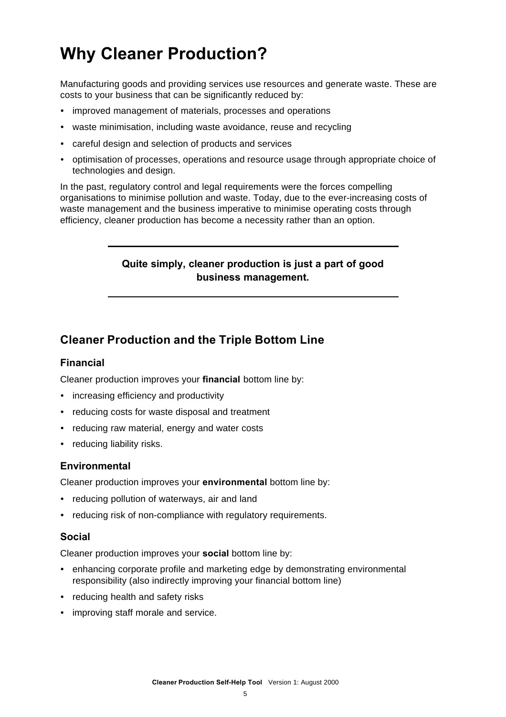### **Why Cleaner Production?**

Manufacturing goods and providing services use resources and generate waste. These are costs to your business that can be significantly reduced by:

- ü improved management of materials, processes and operations
- waste minimisation, including waste avoidance, reuse and recycling
- careful design and selection of products and services
- optimisation of processes, operations and resource usage through appropriate choice of technologies and design.

In the past, regulatory control and legal requirements were the forces compelling organisations to minimise pollution and waste. Today, due to the ever-increasing costs of waste management and the business imperative to minimise operating costs through efficiency, cleaner production has become a necessity rather than an option.

#### **Quite simply, cleaner production is just a part of good business management.**

#### **Cleaner Production and the Triple Bottom Line**

#### **Financial**

Cleaner production improves your **financial** bottom line by:

- increasing efficiency and productivity
- reducing costs for waste disposal and treatment
- reducing raw material, energy and water costs
- reducing liability risks.

#### **Environmental**

Cleaner production improves your **environmental** bottom line by:

- reducing pollution of waterways, air and land
- reducing risk of non-compliance with regulatory requirements.

#### **Social**

Cleaner production improves your **social** bottom line by:

- enhancing corporate profile and marketing edge by demonstrating environmental responsibility (also indirectly improving your financial bottom line)
- reducing health and safety risks
- improving staff morale and service.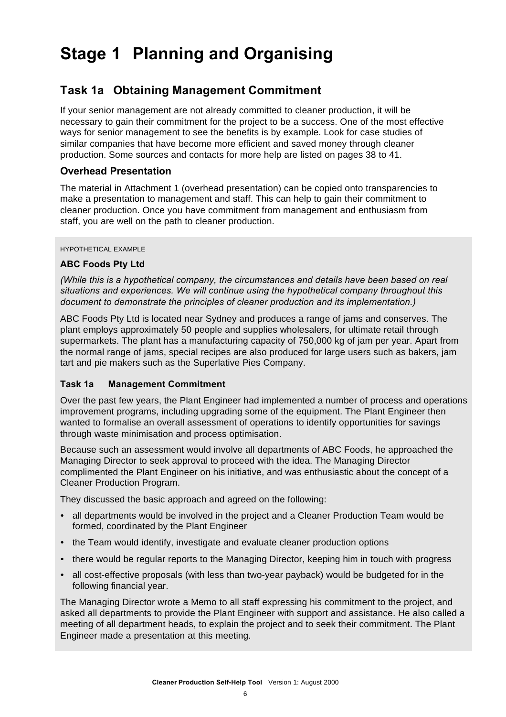### **Stage 1 Planning and Organising**

#### **Task 1a Obtaining Management Commitment**

If your senior management are not already committed to cleaner production, it will be necessary to gain their commitment for the project to be a success. One of the most effective ways for senior management to see the benefits is by example. Look for case studies of similar companies that have become more efficient and saved money through cleaner production. Some sources and contacts for more help are listed on pages 38 to 41.

#### **Overhead Presentation**

The material in Attachment 1 (overhead presentation) can be copied onto transparencies to make a presentation to management and staff. This can help to gain their commitment to cleaner production. Once you have commitment from management and enthusiasm from staff, you are well on the path to cleaner production.

#### HYPOTHETICAL EXAMPLE

#### **ABC Foods Pty Ltd**

*(While this is a hypothetical company, the circumstances and details have been based on real situations and experiences. We will continue using the hypothetical company throughout this document to demonstrate the principles of cleaner production and its implementation.)*

ABC Foods Pty Ltd is located near Sydney and produces a range of jams and conserves. The plant employs approximately 50 people and supplies wholesalers, for ultimate retail through supermarkets. The plant has a manufacturing capacity of 750,000 kg of jam per year. Apart from the normal range of jams, special recipes are also produced for large users such as bakers, jam tart and pie makers such as the Superlative Pies Company.

#### **Task 1a Management Commitment**

Over the past few years, the Plant Engineer had implemented a number of process and operations improvement programs, including upgrading some of the equipment. The Plant Engineer then wanted to formalise an overall assessment of operations to identify opportunities for savings through waste minimisation and process optimisation.

Because such an assessment would involve all departments of ABC Foods, he approached the Managing Director to seek approval to proceed with the idea. The Managing Director complimented the Plant Engineer on his initiative, and was enthusiastic about the concept of a Cleaner Production Program.

They discussed the basic approach and agreed on the following:

- all departments would be involved in the project and a Cleaner Production Team would be formed, coordinated by the Plant Engineer
- the Team would identify, investigate and evaluate cleaner production options
- there would be regular reports to the Managing Director, keeping him in touch with progress
- all cost-effective proposals (with less than two-year payback) would be budgeted for in the following financial year.

The Managing Director wrote a Memo to all staff expressing his commitment to the project, and asked all departments to provide the Plant Engineer with support and assistance. He also called a meeting of all department heads, to explain the project and to seek their commitment. The Plant Engineer made a presentation at this meeting.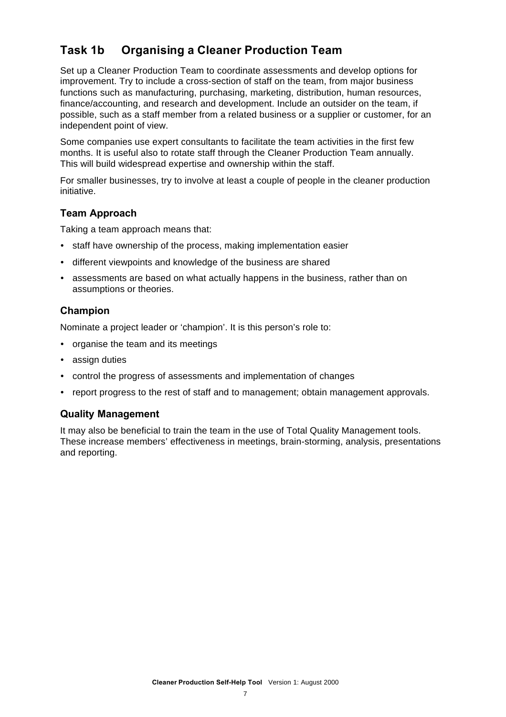#### **Task 1b Organising a Cleaner Production Team**

Set up a Cleaner Production Team to coordinate assessments and develop options for improvement. Try to include a cross-section of staff on the team, from major business functions such as manufacturing, purchasing, marketing, distribution, human resources, finance/accounting, and research and development. Include an outsider on the team, if possible, such as a staff member from a related business or a supplier or customer, for an independent point of view.

Some companies use expert consultants to facilitate the team activities in the first few months. It is useful also to rotate staff through the Cleaner Production Team annually. This will build widespread expertise and ownership within the staff.

For smaller businesses, try to involve at least a couple of people in the cleaner production initiative.

#### **Team Approach**

Taking a team approach means that:

- staff have ownership of the process, making implementation easier
- different viewpoints and knowledge of the business are shared
- assessments are based on what actually happens in the business, rather than on assumptions or theories.

#### **Champion**

Nominate a project leader or 'champion'. It is this person's role to:

- organise the team and its meetings
- assign duties
- control the progress of assessments and implementation of changes
- report progress to the rest of staff and to management; obtain management approvals.

#### **Quality Management**

It may also be beneficial to train the team in the use of Total Quality Management tools. These increase members' effectiveness in meetings, brain-storming, analysis, presentations and reporting.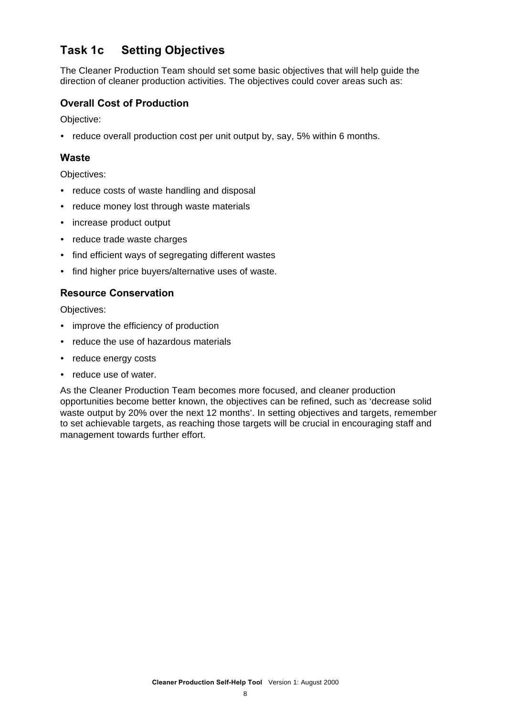#### **Task 1c Setting Objectives**

The Cleaner Production Team should set some basic objectives that will help guide the direction of cleaner production activities. The objectives could cover areas such as:

#### **Overall Cost of Production**

Objective:

• reduce overall production cost per unit output by, say, 5% within 6 months.

#### **Waste**

Objectives:

- reduce costs of waste handling and disposal
- reduce money lost through waste materials
- increase product output
- reduce trade waste charges
- find efficient ways of segregating different wastes
- find higher price buyers/alternative uses of waste.

#### **Resource Conservation**

Objectives:

- improve the efficiency of production
- reduce the use of hazardous materials
- reduce energy costs
- reduce use of water.

As the Cleaner Production Team becomes more focused, and cleaner production opportunities become better known, the objectives can be refined, such as 'decrease solid waste output by 20% over the next 12 months'. In setting objectives and targets, remember to set achievable targets, as reaching those targets will be crucial in encouraging staff and management towards further effort.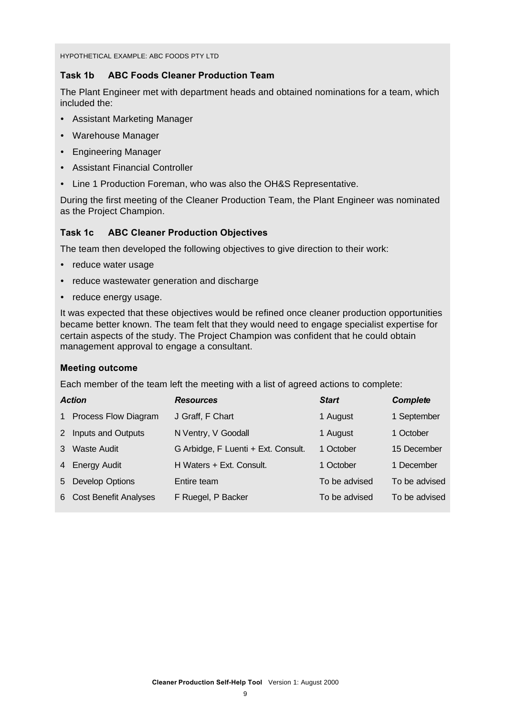HYPOTHETICAL EXAMPLE: ABC FOODS PTY LTD

#### **Task 1b ABC Foods Cleaner Production Team**

The Plant Engineer met with department heads and obtained nominations for a team, which included the:

- Assistant Marketing Manager
- Warehouse Manager
- Engineering Manager
- Assistant Financial Controller
- Line 1 Production Foreman, who was also the OH&S Representative.

During the first meeting of the Cleaner Production Team, the Plant Engineer was nominated as the Project Champion.

#### **Task 1c ABC Cleaner Production Objectives**

The team then developed the following objectives to give direction to their work:

- reduce water usage
- reduce wastewater generation and discharge
- reduce energy usage.

It was expected that these objectives would be refined once cleaner production opportunities became better known. The team felt that they would need to engage specialist expertise for certain aspects of the study. The Project Champion was confident that he could obtain management approval to engage a consultant.

#### **Meeting outcome**

Each member of the team left the meeting with a list of agreed actions to complete:

|              | <b>Action</b>           | <b>Resources</b>                    | <b>Start</b>  | <b>Complete</b> |
|--------------|-------------------------|-------------------------------------|---------------|-----------------|
| $\mathbf{1}$ | Process Flow Diagram    | J Graff, F Chart                    | 1 August      | 1 September     |
| 2            | Inputs and Outputs      | N Ventry, V Goodall                 | 1 August      | 1 October       |
| 3            | Waste Audit             | G Arbidge, F Luenti + Ext. Consult. | 1 October     | 15 December     |
|              | 4 Energy Audit          | H Waters + Ext. Consult.            | 1 October     | 1 December      |
| 5            | <b>Develop Options</b>  | Entire team                         | To be advised | To be advised   |
|              | 6 Cost Benefit Analyses | F Ruegel, P Backer                  | To be advised | To be advised   |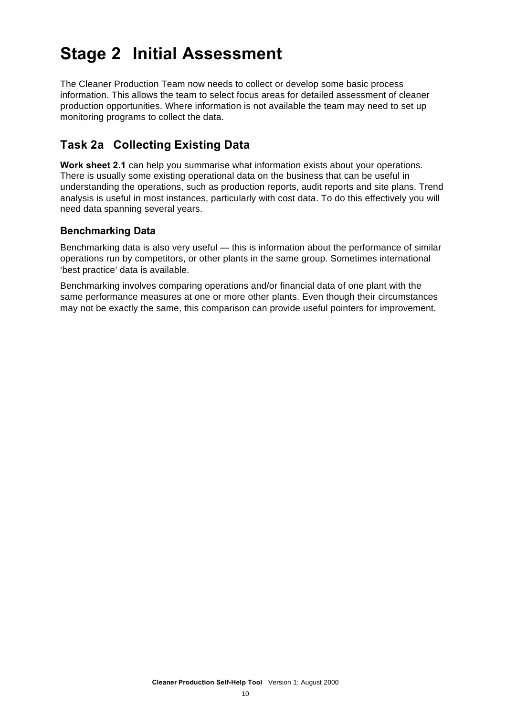### **Stage 2 Initial Assessment**

The Cleaner Production Team now needs to collect or develop some basic process information. This allows the team to select focus areas for detailed assessment of cleaner production opportunities. Where information is not available the team may need to set up monitoring programs to collect the data.

#### **Task 2a Collecting Existing Data**

**Work sheet 2.1** can help you summarise what information exists about your operations. There is usually some existing operational data on the business that can be useful in understanding the operations, such as production reports, audit reports and site plans. Trend analysis is useful in most instances, particularly with cost data. To do this effectively you will need data spanning several years.

#### **Benchmarking Data**

Benchmarking data is also very useful — this is information about the performance of similar operations run by competitors, or other plants in the same group. Sometimes international 'best practice' data is available.

Benchmarking involves comparing operations and/or financial data of one plant with the same performance measures at one or more other plants. Even though their circumstances may not be exactly the same, this comparison can provide useful pointers for improvement.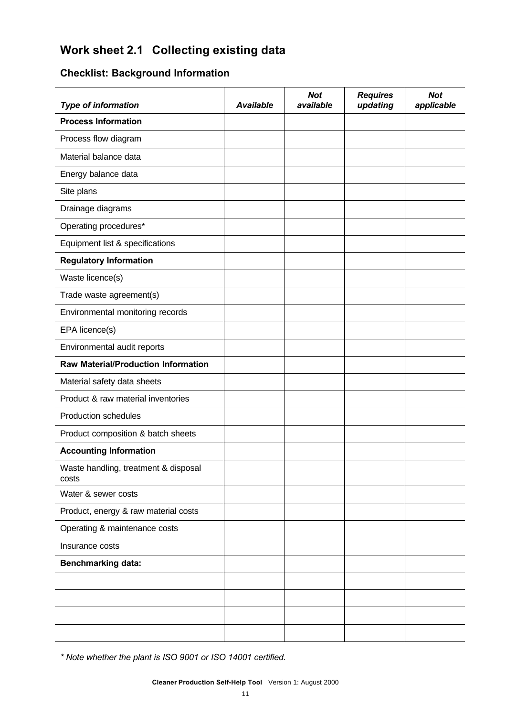#### **Work sheet 2.1 Collecting existing data**

#### **Checklist: Background Information**

| <b>Type of information</b>                    | <b>Available</b> | <b>Not</b><br>available | <b>Requires</b><br>updating | <b>Not</b><br>applicable |
|-----------------------------------------------|------------------|-------------------------|-----------------------------|--------------------------|
| <b>Process Information</b>                    |                  |                         |                             |                          |
| Process flow diagram                          |                  |                         |                             |                          |
| Material balance data                         |                  |                         |                             |                          |
| Energy balance data                           |                  |                         |                             |                          |
| Site plans                                    |                  |                         |                             |                          |
| Drainage diagrams                             |                  |                         |                             |                          |
| Operating procedures*                         |                  |                         |                             |                          |
| Equipment list & specifications               |                  |                         |                             |                          |
| <b>Regulatory Information</b>                 |                  |                         |                             |                          |
| Waste licence(s)                              |                  |                         |                             |                          |
| Trade waste agreement(s)                      |                  |                         |                             |                          |
| Environmental monitoring records              |                  |                         |                             |                          |
| EPA licence(s)                                |                  |                         |                             |                          |
| Environmental audit reports                   |                  |                         |                             |                          |
| <b>Raw Material/Production Information</b>    |                  |                         |                             |                          |
| Material safety data sheets                   |                  |                         |                             |                          |
| Product & raw material inventories            |                  |                         |                             |                          |
| <b>Production schedules</b>                   |                  |                         |                             |                          |
| Product composition & batch sheets            |                  |                         |                             |                          |
| <b>Accounting Information</b>                 |                  |                         |                             |                          |
| Waste handling, treatment & disposal<br>costs |                  |                         |                             |                          |
| Water & sewer costs                           |                  |                         |                             |                          |
| Product, energy & raw material costs          |                  |                         |                             |                          |
| Operating & maintenance costs                 |                  |                         |                             |                          |
| Insurance costs                               |                  |                         |                             |                          |
| <b>Benchmarking data:</b>                     |                  |                         |                             |                          |
|                                               |                  |                         |                             |                          |
|                                               |                  |                         |                             |                          |
|                                               |                  |                         |                             |                          |
|                                               |                  |                         |                             |                          |

*\* Note whether the plant is ISO 9001 or ISO 14001 certified.*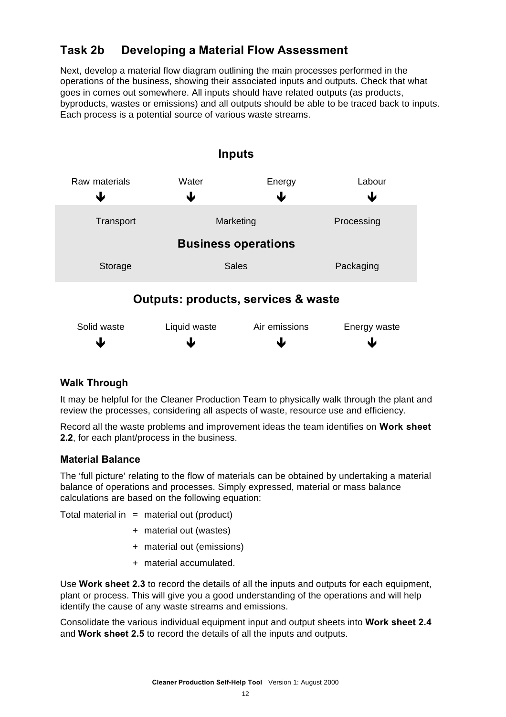#### **Task 2b Developing a Material Flow Assessment**

Next, develop a material flow diagram outlining the main processes performed in the operations of the business, showing their associated inputs and outputs. Check that what goes in comes out somewhere. All inputs should have related outputs (as products, byproducts, wastes or emissions) and all outputs should be able to be traced back to inputs. Each process is a potential source of various waste streams.



#### **Walk Through**

It may be helpful for the Cleaner Production Team to physically walk through the plant and review the processes, considering all aspects of waste, resource use and efficiency.

Record all the waste problems and improvement ideas the team identifies on **Work sheet 2.2**, for each plant/process in the business.

#### **Material Balance**

The 'full picture' relating to the flow of materials can be obtained by undertaking a material balance of operations and processes. Simply expressed, material or mass balance calculations are based on the following equation:

Total material in  $=$  material out (product)

- + material out (wastes)
- + material out (emissions)
- + material accumulated.

Use **Work sheet 2.3** to record the details of all the inputs and outputs for each equipment, plant or process. This will give you a good understanding of the operations and will help identify the cause of any waste streams and emissions.

Consolidate the various individual equipment input and output sheets into **Work sheet 2.4** and **Work sheet 2.5** to record the details of all the inputs and outputs.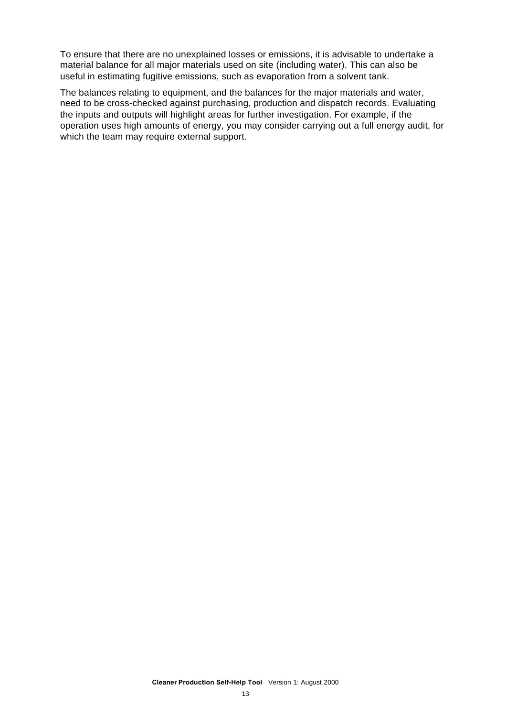To ensure that there are no unexplained losses or emissions, it is advisable to undertake a material balance for all major materials used on site (including water). This can also be useful in estimating fugitive emissions, such as evaporation from a solvent tank.

The balances relating to equipment, and the balances for the major materials and water, need to be cross-checked against purchasing, production and dispatch records. Evaluating the inputs and outputs will highlight areas for further investigation. For example, if the operation uses high amounts of energy, you may consider carrying out a full energy audit, for which the team may require external support.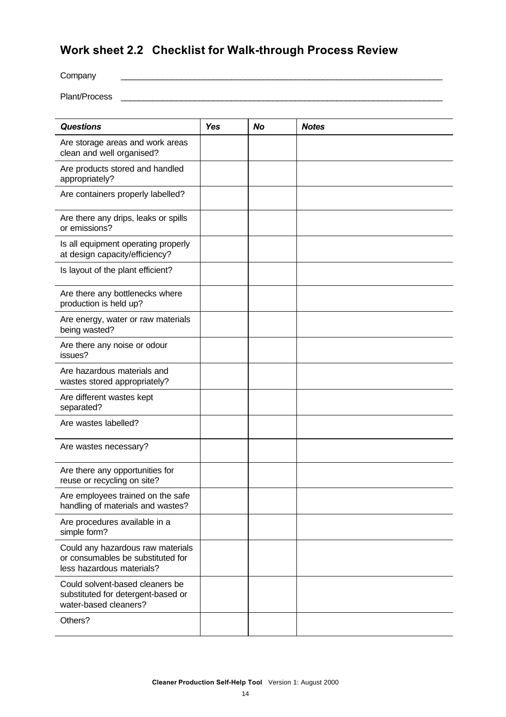#### **Work sheet 2.2 Checklist for Walk-through Process Review**

Company \_\_\_\_\_\_\_\_\_\_\_\_\_\_\_\_\_\_\_\_\_\_\_\_\_\_\_\_\_\_\_\_\_\_\_\_\_\_\_\_\_\_\_\_\_\_\_\_\_\_\_\_\_\_\_\_\_\_\_\_\_\_\_\_\_\_\_\_\_\_ Plant/Process \_\_\_\_\_\_\_\_\_\_\_\_\_\_\_\_\_\_\_\_\_\_\_\_\_\_\_\_\_\_\_\_\_\_\_\_\_\_\_\_\_\_\_\_\_\_\_\_\_\_\_\_\_\_\_\_\_\_\_\_\_\_\_\_\_\_\_\_\_\_

| <b>Questions</b>                                                                                    | <b>Yes</b> | <b>No</b> | <b>Notes</b> |
|-----------------------------------------------------------------------------------------------------|------------|-----------|--------------|
| Are storage areas and work areas<br>clean and well organised?                                       |            |           |              |
| Are products stored and handled<br>appropriately?                                                   |            |           |              |
| Are containers properly labelled?                                                                   |            |           |              |
| Are there any drips, leaks or spills<br>or emissions?                                               |            |           |              |
| Is all equipment operating properly<br>at design capacity/efficiency?                               |            |           |              |
| Is layout of the plant efficient?                                                                   |            |           |              |
| Are there any bottlenecks where<br>production is held up?                                           |            |           |              |
| Are energy, water or raw materials<br>being wasted?                                                 |            |           |              |
| Are there any noise or odour<br>issues?                                                             |            |           |              |
| Are hazardous materials and<br>wastes stored appropriately?                                         |            |           |              |
| Are different wastes kept<br>separated?                                                             |            |           |              |
| Are wastes labelled?                                                                                |            |           |              |
| Are wastes necessary?                                                                               |            |           |              |
| Are there any opportunities for<br>reuse or recycling on site?                                      |            |           |              |
| Are employees trained on the safe<br>handling of materials and wastes?                              |            |           |              |
| Are procedures available in a<br>simple form?                                                       |            |           |              |
| Could any hazardous raw materials<br>or consumables be substituted for<br>less hazardous materials? |            |           |              |
| Could solvent-based cleaners be<br>substituted for detergent-based or<br>water-based cleaners?      |            |           |              |
| Others?                                                                                             |            |           |              |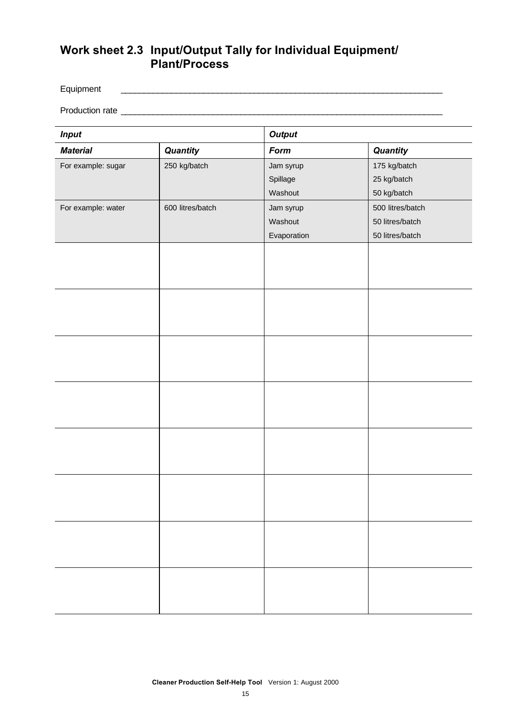#### **Work sheet 2.3 Input/Output Tally for Individual Equipment/ Plant/Process**

Equipment \_\_\_\_\_\_\_\_\_\_\_\_\_\_\_\_\_\_\_\_\_\_\_\_\_\_\_\_\_\_\_\_\_\_\_\_\_\_\_\_\_\_\_\_\_\_\_\_\_\_\_\_\_\_\_\_\_\_\_\_\_\_\_\_\_\_\_\_\_\_

Production rate \_\_\_\_\_\_\_\_\_\_\_\_\_\_\_\_\_\_\_\_\_\_\_\_\_\_\_\_\_\_\_\_\_\_\_\_\_\_\_\_\_\_\_\_\_\_\_\_\_\_\_\_\_\_\_\_\_\_\_\_\_\_\_\_\_\_\_\_\_\_

| <b>Input</b>       |                  | <b>Output</b> |                  |  |  |
|--------------------|------------------|---------------|------------------|--|--|
| <b>Material</b>    | Quantity         | Form          | Quantity         |  |  |
| For example: sugar | 250 kg/batch     | Jam syrup     | 175 kg/batch     |  |  |
|                    |                  | Spillage      | 25 kg/batch      |  |  |
|                    |                  | Washout       | 50 kg/batch      |  |  |
| For example: water | 600 litres/batch | Jam syrup     | 500 litres/batch |  |  |
|                    |                  | Washout       | 50 litres/batch  |  |  |
|                    |                  | Evaporation   | 50 litres/batch  |  |  |
|                    |                  |               |                  |  |  |
|                    |                  |               |                  |  |  |
|                    |                  |               |                  |  |  |
|                    |                  |               |                  |  |  |
|                    |                  |               |                  |  |  |
|                    |                  |               |                  |  |  |
|                    |                  |               |                  |  |  |
|                    |                  |               |                  |  |  |
|                    |                  |               |                  |  |  |
|                    |                  |               |                  |  |  |
|                    |                  |               |                  |  |  |
|                    |                  |               |                  |  |  |
|                    |                  |               |                  |  |  |
|                    |                  |               |                  |  |  |
|                    |                  |               |                  |  |  |
|                    |                  |               |                  |  |  |
|                    |                  |               |                  |  |  |
|                    |                  |               |                  |  |  |
|                    |                  |               |                  |  |  |
|                    |                  |               |                  |  |  |
|                    |                  |               |                  |  |  |
|                    |                  |               |                  |  |  |
|                    |                  |               |                  |  |  |
|                    |                  |               |                  |  |  |
|                    |                  |               |                  |  |  |
|                    |                  |               |                  |  |  |
|                    |                  |               |                  |  |  |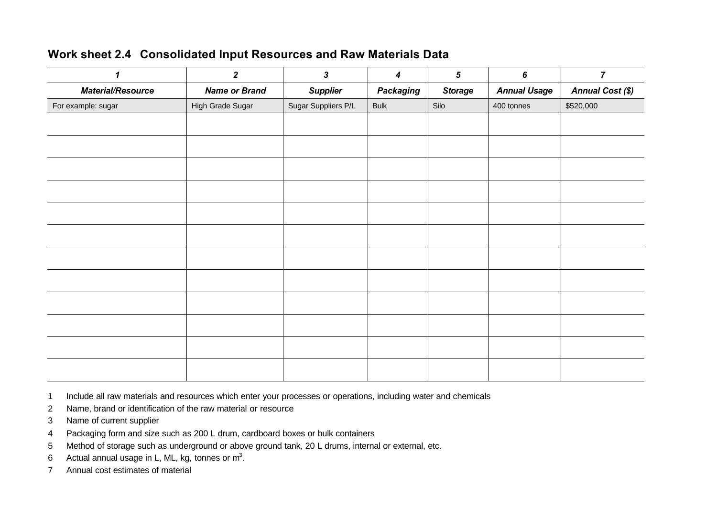#### **Work sheet 2.4 Consolidated Input Resources and Raw Materials Data**

|                          | $\overline{2}$       | $\mathbf{3}$        | $\boldsymbol{4}$ | $\sqrt{5}$     | $\bm{6}$            | $\overline{7}$          |
|--------------------------|----------------------|---------------------|------------------|----------------|---------------------|-------------------------|
| <b>Material/Resource</b> | <b>Name or Brand</b> | <b>Supplier</b>     | Packaging        | <b>Storage</b> | <b>Annual Usage</b> | <b>Annual Cost (\$)</b> |
| For example: sugar       | High Grade Sugar     | Sugar Suppliers P/L | <b>Bulk</b>      | Silo           | 400 tonnes          | \$520,000               |
|                          |                      |                     |                  |                |                     |                         |
|                          |                      |                     |                  |                |                     |                         |
|                          |                      |                     |                  |                |                     |                         |
|                          |                      |                     |                  |                |                     |                         |
|                          |                      |                     |                  |                |                     |                         |
|                          |                      |                     |                  |                |                     |                         |
|                          |                      |                     |                  |                |                     |                         |
|                          |                      |                     |                  |                |                     |                         |
|                          |                      |                     |                  |                |                     |                         |
|                          |                      |                     |                  |                |                     |                         |
|                          |                      |                     |                  |                |                     |                         |
|                          |                      |                     |                  |                |                     |                         |

Include all raw materials and resources which enter your processes or operations, including water and chemicals

- Name, brand or identification of the raw material or resource
- Name of current supplier
- Packaging form and size such as 200 L drum, cardboard boxes or bulk containers
- Method of storage such as underground or above ground tank, 20 L drums, internal or external, etc.
- 6 Actual annual usage in L, ML, kg, tonnes or  $m^3$ .
- Annual cost estimates of material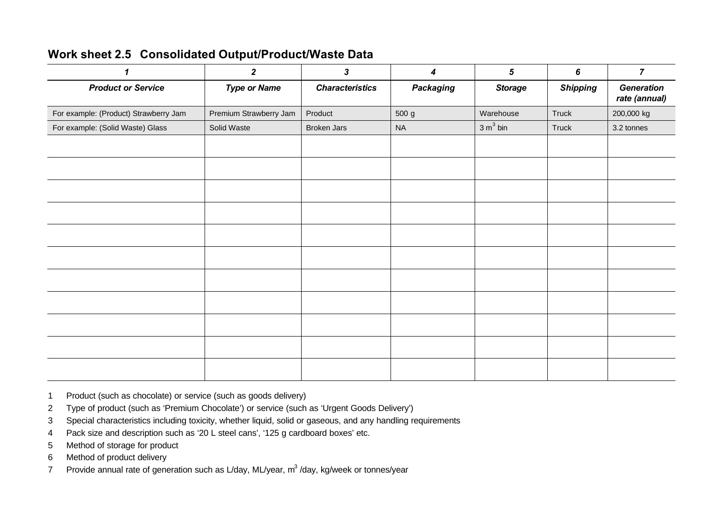| $\mathbf 1$                           | $\overline{2}$         | $\boldsymbol{3}$       | 4                | $\sqrt{5}$           | 6               | $\overline{7}$                     |
|---------------------------------------|------------------------|------------------------|------------------|----------------------|-----------------|------------------------------------|
| <b>Product or Service</b>             | <b>Type or Name</b>    | <b>Characteristics</b> | <b>Packaging</b> | <b>Storage</b>       | <b>Shipping</b> | <b>Generation</b><br>rate (annual) |
| For example: (Product) Strawberry Jam | Premium Strawberry Jam | Product                | 500 g            | Warehouse            | Truck           | 200,000 kg                         |
| For example: (Solid Waste) Glass      | Solid Waste            | <b>Broken Jars</b>     | <b>NA</b>        | 3 m <sup>3</sup> bin | Truck           | 3.2 tonnes                         |
|                                       |                        |                        |                  |                      |                 |                                    |
|                                       |                        |                        |                  |                      |                 |                                    |
|                                       |                        |                        |                  |                      |                 |                                    |
|                                       |                        |                        |                  |                      |                 |                                    |
|                                       |                        |                        |                  |                      |                 |                                    |
|                                       |                        |                        |                  |                      |                 |                                    |
|                                       |                        |                        |                  |                      |                 |                                    |
|                                       |                        |                        |                  |                      |                 |                                    |
|                                       |                        |                        |                  |                      |                 |                                    |
|                                       |                        |                        |                  |                      |                 |                                    |
|                                       |                        |                        |                  |                      |                 |                                    |

#### **Work sheet 2.5 Consolidated Output/Product/Waste Data**

- 1 Product (such as chocolate) or service (such as goods delivery)
- 2 Type of product (such as 'Premium Chocolate') or service (such as 'Urgent Goods Delivery')
- 3 Special characteristics including toxicity, whether liquid, solid or gaseous, and any handling requirements
- 4 Pack size and description such as '20 L steel cans', '125 g cardboard boxes' etc.
- 5 Method of storage for product
- 6 Method of product delivery
- 7 Provide annual rate of generation such as L/day, ML/year, m<sup>3</sup>/day, kg/week or tonnes/year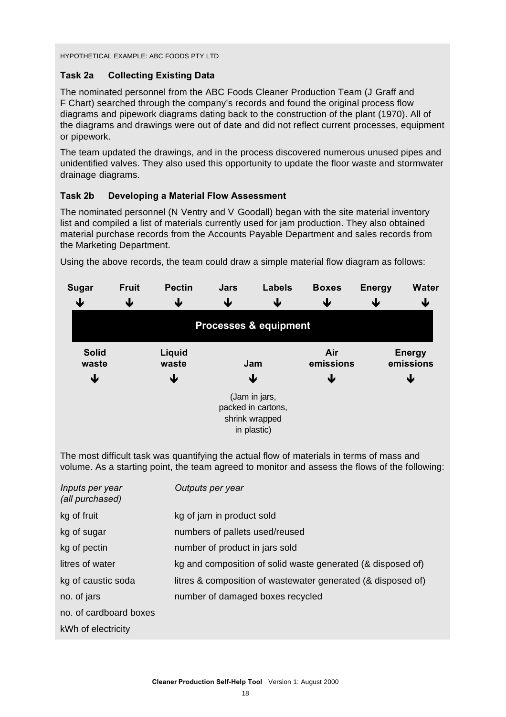#### HYPOTHETICAL EXAMPLE: ABC FOODS PTY LTD

#### **Task 2a Collecting Existing Data**

The nominated personnel from the ABC Foods Cleaner Production Team (J Graff and F Chart) searched through the company's records and found the original process flow diagrams and pipework diagrams dating back to the construction of the plant (1970). All of the diagrams and drawings were out of date and did not reflect current processes, equipment or pipework.

The team updated the drawings, and in the process discovered numerous unused pipes and unidentified valves. They also used this opportunity to update the floor waste and stormwater drainage diagrams.

#### **Task 2b Developing a Material Flow Assessment**

The nominated personnel (N Ventry and V Goodall) began with the site material inventory list and compiled a list of materials currently used for jam production. They also obtained material purchase records from the Accounts Payable Department and sales records from the Marketing Department.

Using the above records, the team could draw a simple material flow diagram as follows:

| <b>Sugar</b><br>↓                                  | <b>Fruit</b><br>↓ | <b>Pectin</b><br>↓ | <b>Jars</b><br>↓                                                     | <b>Labels</b><br>↓ | <b>Boxes</b><br>↓ | <b>Energy</b><br>↓              | <b>Water</b><br>↓ |
|----------------------------------------------------|-------------------|--------------------|----------------------------------------------------------------------|--------------------|-------------------|---------------------------------|-------------------|
|                                                    |                   |                    | <b>Processes &amp; equipment</b>                                     |                    |                   |                                 |                   |
| <b>Solid</b><br>Liquid<br>waste<br>waste<br>↓<br>↓ |                   |                    | Jam<br>₩                                                             |                    | emissions         | <b>Energy</b><br>emissions<br>↓ |                   |
|                                                    |                   |                    | (Jam in jars,<br>packed in cartons,<br>shrink wrapped<br>in plastic) |                    |                   |                                 |                   |

The most difficult task was quantifying the actual flow of materials in terms of mass and volume. As a starting point, the team agreed to monitor and assess the flows of the following:

| Inputs per year<br>(all purchased) | Outputs per year                                             |
|------------------------------------|--------------------------------------------------------------|
| kg of fruit                        | kg of jam in product sold                                    |
| kg of sugar                        | numbers of pallets used/reused                               |
| kg of pectin                       | number of product in jars sold                               |
| litres of water                    | kg and composition of solid waste generated (& disposed of)  |
| kg of caustic soda                 | litres & composition of wastewater generated (& disposed of) |
| no. of jars                        | number of damaged boxes recycled                             |
| no. of cardboard boxes             |                                                              |
| kWh of electricity                 |                                                              |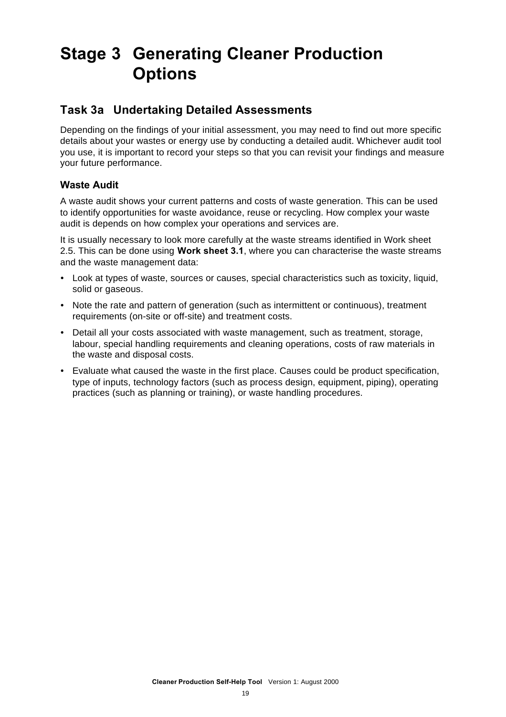### **Stage 3 Generating Cleaner Production Options**

#### **Task 3a Undertaking Detailed Assessments**

Depending on the findings of your initial assessment, you may need to find out more specific details about your wastes or energy use by conducting a detailed audit. Whichever audit tool you use, it is important to record your steps so that you can revisit your findings and measure your future performance.

#### **Waste Audit**

A waste audit shows your current patterns and costs of waste generation. This can be used to identify opportunities for waste avoidance, reuse or recycling. How complex your waste audit is depends on how complex your operations and services are.

It is usually necessary to look more carefully at the waste streams identified in Work sheet 2.5. This can be done using **Work sheet 3.1**, where you can characterise the waste streams and the waste management data:

- ü Look at types of waste, sources or causes, special characteristics such as toxicity, liquid, solid or gaseous.
- Note the rate and pattern of generation (such as intermittent or continuous), treatment requirements (on-site or off-site) and treatment costs.
- Detail all your costs associated with waste management, such as treatment, storage, labour, special handling requirements and cleaning operations, costs of raw materials in the waste and disposal costs.
- Evaluate what caused the waste in the first place. Causes could be product specification, type of inputs, technology factors (such as process design, equipment, piping), operating practices (such as planning or training), or waste handling procedures.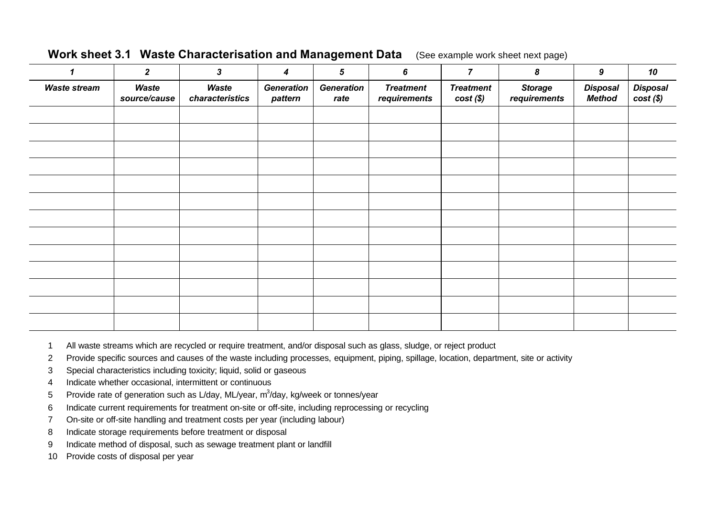|  | Work sheet 3.1 Waste Characterisation and Management Data (See example work sheet next page) |  |
|--|----------------------------------------------------------------------------------------------|--|
|--|----------------------------------------------------------------------------------------------|--|

| 1                   | $\overline{2}$        | $\mathbf{3}$             | 4                            | $\sqrt{5}$                | 6                                | $\overline{7}$                  | 8                              | 9                                | 10                             |
|---------------------|-----------------------|--------------------------|------------------------------|---------------------------|----------------------------------|---------------------------------|--------------------------------|----------------------------------|--------------------------------|
| <b>Waste stream</b> | Waste<br>source/cause | Waste<br>characteristics | <b>Generation</b><br>pattern | <b>Generation</b><br>rate | <b>Treatment</b><br>requirements | <b>Treatment</b><br>$cost(\$))$ | <b>Storage</b><br>requirements | <b>Disposal</b><br><b>Method</b> | <b>Disposal</b><br>$cost(\$))$ |
|                     |                       |                          |                              |                           |                                  |                                 |                                |                                  |                                |
|                     |                       |                          |                              |                           |                                  |                                 |                                |                                  |                                |
|                     |                       |                          |                              |                           |                                  |                                 |                                |                                  |                                |
|                     |                       |                          |                              |                           |                                  |                                 |                                |                                  |                                |
|                     |                       |                          |                              |                           |                                  |                                 |                                |                                  |                                |
|                     |                       |                          |                              |                           |                                  |                                 |                                |                                  |                                |
|                     |                       |                          |                              |                           |                                  |                                 |                                |                                  |                                |
|                     |                       |                          |                              |                           |                                  |                                 |                                |                                  |                                |
|                     |                       |                          |                              |                           |                                  |                                 |                                |                                  |                                |
|                     |                       |                          |                              |                           |                                  |                                 |                                |                                  |                                |
|                     |                       |                          |                              |                           |                                  |                                 |                                |                                  |                                |
|                     |                       |                          |                              |                           |                                  |                                 |                                |                                  |                                |
|                     |                       |                          |                              |                           |                                  |                                 |                                |                                  |                                |

1 All waste streams which are recycled or require treatment, and/or disposal such as glass, sludge, or reject product

2 Provide specific sources and causes of the waste including processes, equipment, piping, spillage, location, department, site or activity

3 Special characteristics including toxicity; liquid, solid or gaseous

4 Indicate whether occasional, intermittent or continuous

- 5 Provide rate of generation such as L/day, ML/year, m<sup>3</sup>/day, kg/week or tonnes/year
- 6 Indicate current requirements for treatment on-site or off-site, including reprocessing or recycling
- 7 On-site or off-site handling and treatment costs per year (including labour)
- 8 Indicate storage requirements before treatment or disposal
- 9 Indicate method of disposal, such as sewage treatment plant or landfill
- 10 Provide costs of disposal per year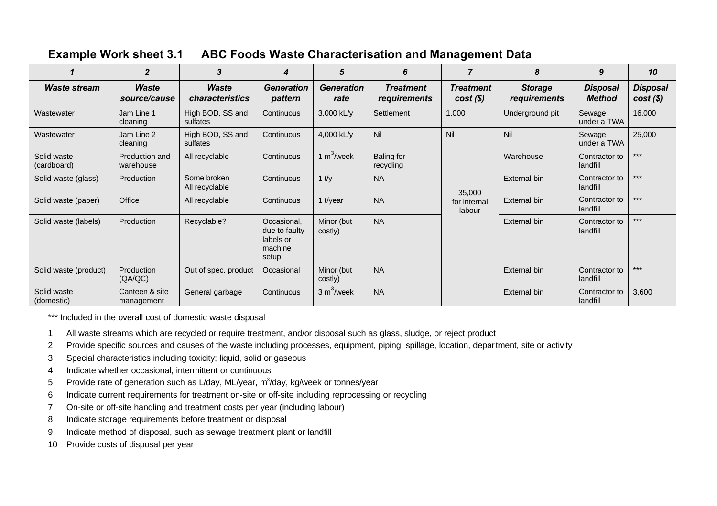| <b>Example Work sheet 3.1</b> | <b>ABC Foods Waste Characterisation and Management Data</b> |
|-------------------------------|-------------------------------------------------------------|
|                               |                                                             |

|                            | $\overline{2}$               | 3                               | 4                                                             | 5                         | 6                                | $\overline{7}$                  | 8                              | 9                                | 10                             |
|----------------------------|------------------------------|---------------------------------|---------------------------------------------------------------|---------------------------|----------------------------------|---------------------------------|--------------------------------|----------------------------------|--------------------------------|
| <b>Waste stream</b>        | Waste<br>source/cause        | Waste<br><i>characteristics</i> | <b>Generation</b><br>pattern                                  | <b>Generation</b><br>rate | <b>Treatment</b><br>requirements | <b>Treatment</b><br>$cost(\$))$ | <b>Storage</b><br>requirements | <b>Disposal</b><br><b>Method</b> | <b>Disposal</b><br>$cost(\$))$ |
| Wastewater                 | Jam Line 1<br>cleaning       | High BOD, SS and<br>sulfates    | Continuous                                                    | 3,000 kL/y                | Settlement                       | 1,000                           | Underground pit                | Sewage<br>under a TWA            | 16,000                         |
| Wastewater                 | Jam Line 2<br>cleaning       | High BOD, SS and<br>sulfates    | Continuous                                                    | 4,000 kL/y                | Nil                              | Nil                             | Nil                            | Sewage<br>under a TWA            | 25,000                         |
| Solid waste<br>(cardboard) | Production and<br>warehouse  | All recyclable                  | Continuous                                                    | 1 $m^3$ /week             | <b>Baling for</b><br>recycling   |                                 | Warehouse                      | Contractor to<br>landfill        | $***$                          |
| Solid waste (glass)        | Production                   | Some broken<br>All recyclable   | Continuous                                                    | $1$ t/y                   | <b>NA</b>                        | 35,000                          | External bin                   | Contractor to<br>landfill        | $***$                          |
| Solid waste (paper)        | Office                       | All recyclable                  | Continuous                                                    | 1 t/year                  | <b>NA</b>                        | for internal<br>labour          | External bin                   | Contractor to<br>landfill        | $***$                          |
| Solid waste (labels)       | Production                   | Recyclable?                     | Occasional,<br>due to faulty<br>labels or<br>machine<br>setup | Minor (but<br>costly)     | <b>NA</b>                        |                                 | External bin                   | Contractor to<br>landfill        | $***$                          |
| Solid waste (product)      | <b>Production</b><br>(QA/QC) | Out of spec. product            | Occasional                                                    | Minor (but<br>costly)     | <b>NA</b>                        |                                 | External bin                   | Contractor to<br>landfill        | $***$                          |
| Solid waste<br>(domestic)  | Canteen & site<br>management | General garbage                 | Continuous                                                    | $3 m3/$ week              | <b>NA</b>                        |                                 | External bin                   | Contractor to<br>landfill        | 3,600                          |

\*\*\* Included in the overall cost of domestic waste disposal

- 1 All waste streams which are recycled or require treatment, and/or disposal such as glass, sludge, or reject product
- 2 Provide specific sources and causes of the waste including processes, equipment, piping, spillage, location, department, site or activity
- 3 Special characteristics including toxicity; liquid, solid or gaseous
- 4 Indicate whether occasional, intermittent or continuous
- 5 Provide rate of generation such as L/day, ML/year, m<sup>3</sup>/day, kg/week or tonnes/year
- 6 Indicate current requirements for treatment on-site or off-site including reprocessing or recycling
- 7 On-site or off-site handling and treatment costs per year (including labour)
- 8 Indicate storage requirements before treatment or disposal
- 9 Indicate method of disposal, such as sewage treatment plant or landfill
- 10 Provide costs of disposal per year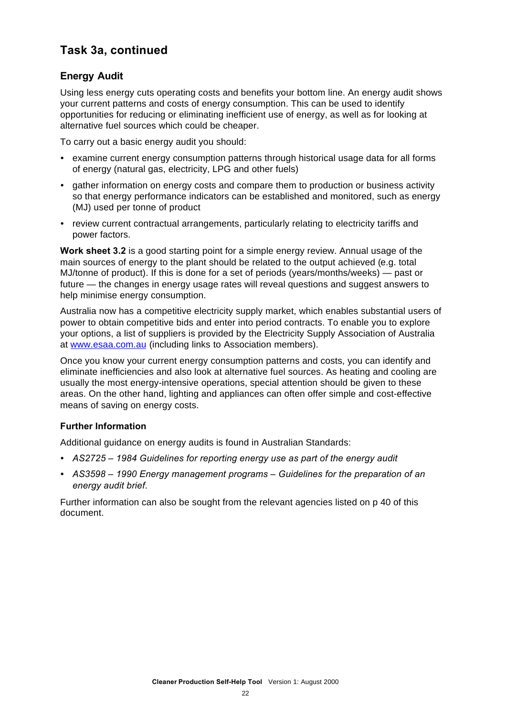#### **Task 3a, continued**

#### **Energy Audit**

Using less energy cuts operating costs and benefits your bottom line. An energy audit shows your current patterns and costs of energy consumption. This can be used to identify opportunities for reducing or eliminating inefficient use of energy, as well as for looking at alternative fuel sources which could be cheaper.

To carry out a basic energy audit you should:

- examine current energy consumption patterns through historical usage data for all forms of energy (natural gas, electricity, LPG and other fuels)
- ü gather information on energy costs and compare them to production or business activity so that energy performance indicators can be established and monitored, such as energy (MJ) used per tonne of product
- review current contractual arrangements, particularly relating to electricity tariffs and power factors.

**Work sheet 3.2** is a good starting point for a simple energy review. Annual usage of the main sources of energy to the plant should be related to the output achieved (e.g. total MJ/tonne of product). If this is done for a set of periods (years/months/weeks) — past or future — the changes in energy usage rates will reveal questions and suggest answers to help minimise energy consumption.

Australia now has a competitive electricity supply market, which enables substantial users of power to obtain competitive bids and enter into period contracts. To enable you to explore your options, a list of suppliers is provided by the Electricity Supply Association of Australia at www.esaa.com.au (including links to Association members).

Once you know your current energy consumption patterns and costs, you can identify and eliminate inefficiencies and also look at alternative fuel sources. As heating and cooling are usually the most energy-intensive operations, special attention should be given to these areas. On the other hand, lighting and appliances can often offer simple and cost-effective means of saving on energy costs.

#### **Further Information**

Additional guidance on energy audits is found in Australian Standards:

- ü *AS2725 1984 Guidelines for reporting energy use as part of the energy audit*
- ü *AS3598 1990 Energy management programs Guidelines for the preparation of an energy audit brief*.

Further information can also be sought from the relevant agencies listed on p 40 of this document.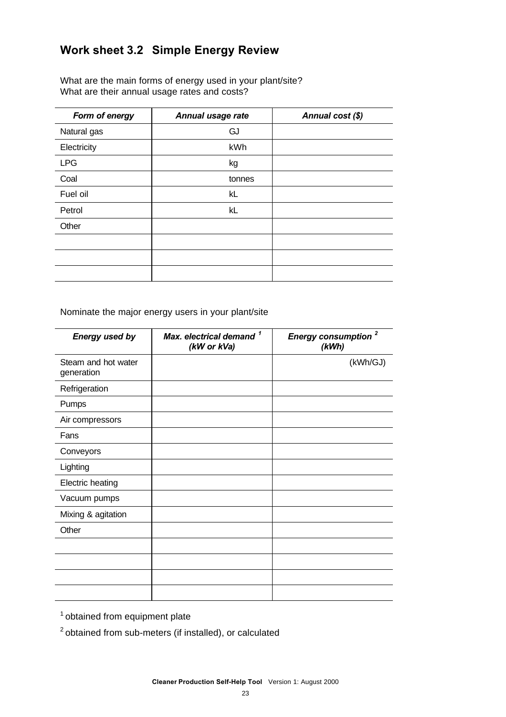#### **Work sheet 3.2 Simple Energy Review**

What are the main forms of energy used in your plant/site? What are their annual usage rates and costs?

| Form of energy | Annual usage rate | Annual cost (\$) |
|----------------|-------------------|------------------|
| Natural gas    | GJ                |                  |
| Electricity    | kWh               |                  |
| <b>LPG</b>     | kg                |                  |
| Coal           | tonnes            |                  |
| Fuel oil       | kL                |                  |
| Petrol         | kL                |                  |
| Other          |                   |                  |
|                |                   |                  |
|                |                   |                  |
|                |                   |                  |

Nominate the major energy users in your plant/site

| <b>Energy used by</b>             | Max. electrical demand <sup>1</sup><br>(kW or kVa) | Energy consumption <sup>2</sup><br>(kWh) |
|-----------------------------------|----------------------------------------------------|------------------------------------------|
| Steam and hot water<br>generation |                                                    | (kWh/GJ)                                 |
| Refrigeration                     |                                                    |                                          |
| Pumps                             |                                                    |                                          |
| Air compressors                   |                                                    |                                          |
| Fans                              |                                                    |                                          |
| Conveyors                         |                                                    |                                          |
| Lighting                          |                                                    |                                          |
| <b>Electric heating</b>           |                                                    |                                          |
| Vacuum pumps                      |                                                    |                                          |
| Mixing & agitation                |                                                    |                                          |
| Other                             |                                                    |                                          |
|                                   |                                                    |                                          |
|                                   |                                                    |                                          |
|                                   |                                                    |                                          |
|                                   |                                                    |                                          |

<sup>1</sup> obtained from equipment plate

 $2$  obtained from sub-meters (if installed), or calculated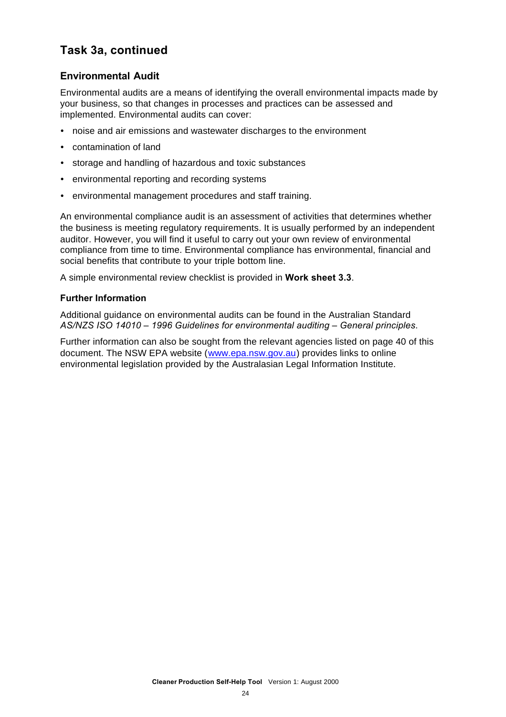#### **Task 3a, continued**

#### **Environmental Audit**

Environmental audits are a means of identifying the overall environmental impacts made by your business, so that changes in processes and practices can be assessed and implemented. Environmental audits can cover:

- noise and air emissions and wastewater discharges to the environment
- contamination of land
- ü storage and handling of hazardous and toxic substances
- environmental reporting and recording systems
- environmental management procedures and staff training.

An environmental compliance audit is an assessment of activities that determines whether the business is meeting regulatory requirements. It is usually performed by an independent auditor. However, you will find it useful to carry out your own review of environmental compliance from time to time. Environmental compliance has environmental, financial and social benefits that contribute to your triple bottom line.

A simple environmental review checklist is provided in **Work sheet 3.3**.

#### **Further Information**

Additional guidance on environmental audits can be found in the Australian Standard *AS/NZS ISO 14010 – 1996 Guidelines for environmental auditing – General principles*.

Further information can also be sought from the relevant agencies listed on page 40 of this document. The NSW EPA website (www.epa.nsw.gov.au) provides links to online environmental legislation provided by the Australasian Legal Information Institute.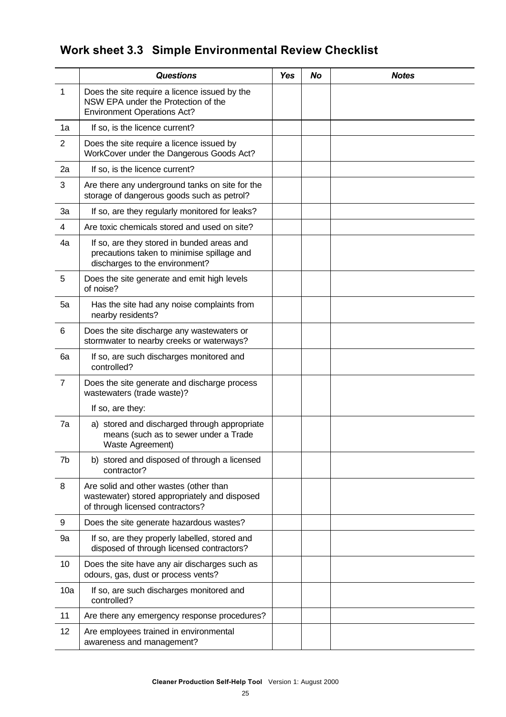### **Work sheet 3.3 Simple Environmental Review Checklist**

|                  | <b>Questions</b>                                                                                                            | <b>Yes</b> | <b>No</b> | <b>Notes</b> |
|------------------|-----------------------------------------------------------------------------------------------------------------------------|------------|-----------|--------------|
| 1                | Does the site require a licence issued by the<br>NSW EPA under the Protection of the<br><b>Environment Operations Act?</b>  |            |           |              |
| 1a               | If so, is the licence current?                                                                                              |            |           |              |
| $\overline{2}$   | Does the site require a licence issued by<br>WorkCover under the Dangerous Goods Act?                                       |            |           |              |
| 2a               | If so, is the licence current?                                                                                              |            |           |              |
| 3                | Are there any underground tanks on site for the<br>storage of dangerous goods such as petrol?                               |            |           |              |
| 3a               | If so, are they regularly monitored for leaks?                                                                              |            |           |              |
| 4                | Are toxic chemicals stored and used on site?                                                                                |            |           |              |
| 4a               | If so, are they stored in bunded areas and<br>precautions taken to minimise spillage and<br>discharges to the environment?  |            |           |              |
| 5                | Does the site generate and emit high levels<br>of noise?                                                                    |            |           |              |
| 5a               | Has the site had any noise complaints from<br>nearby residents?                                                             |            |           |              |
| 6                | Does the site discharge any wastewaters or<br>stormwater to nearby creeks or waterways?                                     |            |           |              |
| 6a               | If so, are such discharges monitored and<br>controlled?                                                                     |            |           |              |
| $\overline{7}$   | Does the site generate and discharge process<br>wastewaters (trade waste)?                                                  |            |           |              |
|                  | If so, are they:                                                                                                            |            |           |              |
| 7a               | a) stored and discharged through appropriate<br>means (such as to sewer under a Trade<br>Waste Agreement)                   |            |           |              |
| 7b               | b) stored and disposed of through a licensed<br>contractor?                                                                 |            |           |              |
| 8                | Are solid and other wastes (other than<br>wastewater) stored appropriately and disposed<br>of through licensed contractors? |            |           |              |
| $\boldsymbol{9}$ | Does the site generate hazardous wastes?                                                                                    |            |           |              |
| 9a               | If so, are they properly labelled, stored and<br>disposed of through licensed contractors?                                  |            |           |              |
| 10               | Does the site have any air discharges such as<br>odours, gas, dust or process vents?                                        |            |           |              |
| 10a              | If so, are such discharges monitored and<br>controlled?                                                                     |            |           |              |
| 11               | Are there any emergency response procedures?                                                                                |            |           |              |
| 12               | Are employees trained in environmental<br>awareness and management?                                                         |            |           |              |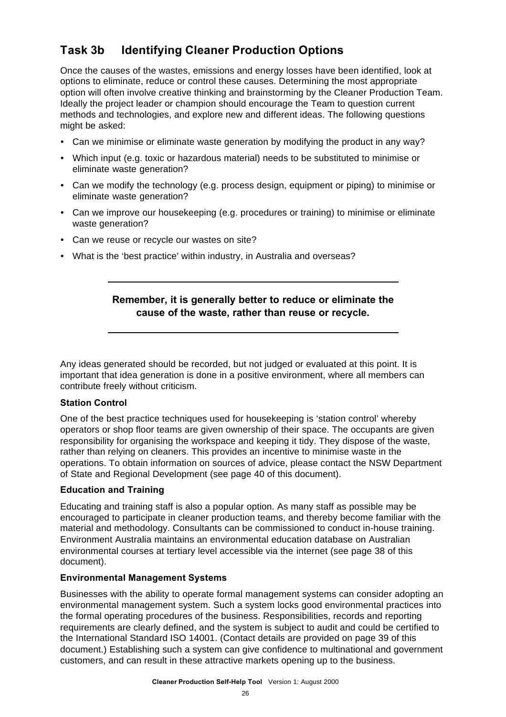#### **Task 3b Identifying Cleaner Production Options**

Once the causes of the wastes, emissions and energy losses have been identified, look at options to eliminate, reduce or control these causes. Determining the most appropriate option will often involve creative thinking and brainstorming by the Cleaner Production Team. Ideally the project leader or champion should encourage the Team to question current methods and technologies, and explore new and different ideas. The following questions might be asked:

- Can we minimise or eliminate waste generation by modifying the product in any way?
- ü Which input (e.g. toxic or hazardous material) needs to be substituted to minimise or eliminate waste generation?
- Can we modify the technology (e.g. process design, equipment or piping) to minimise or eliminate waste generation?
- Can we improve our housekeeping (e.g. procedures or training) to minimise or eliminate waste generation?
- Can we reuse or recycle our wastes on site?
- What is the 'best practice' within industry, in Australia and overseas?

#### **Remember, it is generally better to reduce or eliminate the cause of the waste, rather than reuse or recycle.**

Any ideas generated should be recorded, but not judged or evaluated at this point. It is important that idea generation is done in a positive environment, where all members can contribute freely without criticism.

#### **Station Control**

One of the best practice techniques used for housekeeping is 'station control' whereby operators or shop floor teams are given ownership of their space. The occupants are given responsibility for organising the workspace and keeping it tidy. They dispose of the waste, rather than relying on cleaners. This provides an incentive to minimise waste in the operations. To obtain information on sources of advice, please contact the NSW Department of State and Regional Development (see page 40 of this document).

#### **Education and Training**

Educating and training staff is also a popular option. As many staff as possible may be encouraged to participate in cleaner production teams, and thereby become familiar with the material and methodology. Consultants can be commissioned to conduct in-house training. Environment Australia maintains an environmental education database on Australian environmental courses at tertiary level accessible via the internet (see page 38 of this document).

#### **Environmental Management Systems**

Businesses with the ability to operate formal management systems can consider adopting an environmental management system. Such a system locks good environmental practices into the formal operating procedures of the business. Responsibilities, records and reporting requirements are clearly defined, and the system is subject to audit and could be certified to the International Standard ISO 14001. (Contact details are provided on page 39 of this document.) Establishing such a system can give confidence to multinational and government customers, and can result in these attractive markets opening up to the business.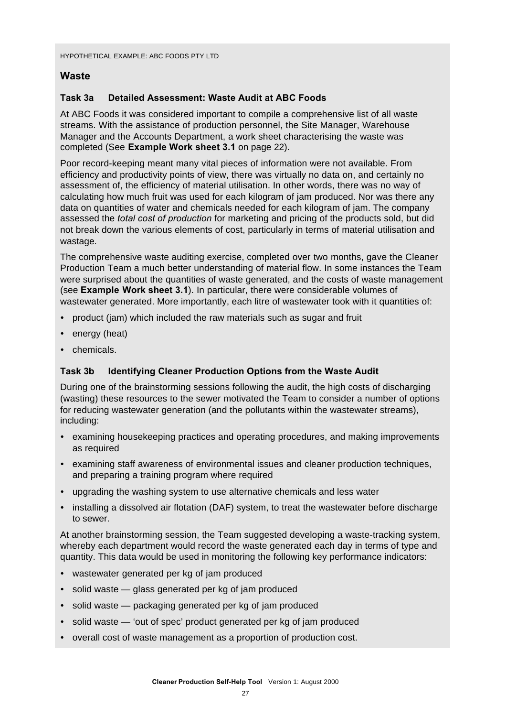#### **Waste**

#### **Task 3a Detailed Assessment: Waste Audit at ABC Foods**

At ABC Foods it was considered important to compile a comprehensive list of all waste streams. With the assistance of production personnel, the Site Manager, Warehouse Manager and the Accounts Department, a work sheet characterising the waste was completed (See **Example Work sheet 3.1** on page 22).

Poor record-keeping meant many vital pieces of information were not available. From efficiency and productivity points of view, there was virtually no data on, and certainly no assessment of, the efficiency of material utilisation. In other words, there was no way of calculating how much fruit was used for each kilogram of jam produced. Nor was there any data on quantities of water and chemicals needed for each kilogram of jam. The company assessed the *total cost of production* for marketing and pricing of the products sold, but did not break down the various elements of cost, particularly in terms of material utilisation and wastage.

The comprehensive waste auditing exercise, completed over two months, gave the Cleaner Production Team a much better understanding of material flow. In some instances the Team were surprised about the quantities of waste generated, and the costs of waste management (see **Example Work sheet 3.1**). In particular, there were considerable volumes of wastewater generated. More importantly, each litre of wastewater took with it quantities of:

- product (jam) which included the raw materials such as sugar and fruit
- $\cdot$  energy (heat)
- chemicals.

#### **Task 3b Identifying Cleaner Production Options from the Waste Audit**

During one of the brainstorming sessions following the audit, the high costs of discharging (wasting) these resources to the sewer motivated the Team to consider a number of options for reducing wastewater generation (and the pollutants within the wastewater streams), including:

- ü examining housekeeping practices and operating procedures, and making improvements as required
- ü examining staff awareness of environmental issues and cleaner production techniques, and preparing a training program where required
- upgrading the washing system to use alternative chemicals and less water
- installing a dissolved air flotation (DAF) system, to treat the wastewater before discharge to sewer.

At another brainstorming session, the Team suggested developing a waste-tracking system, whereby each department would record the waste generated each day in terms of type and quantity. This data would be used in monitoring the following key performance indicators:

- wastewater generated per kg of jam produced
- solid waste glass generated per kg of jam produced
- solid waste packaging generated per kg of jam produced
- solid waste 'out of spec' product generated per kg of jam produced
- overall cost of waste management as a proportion of production cost.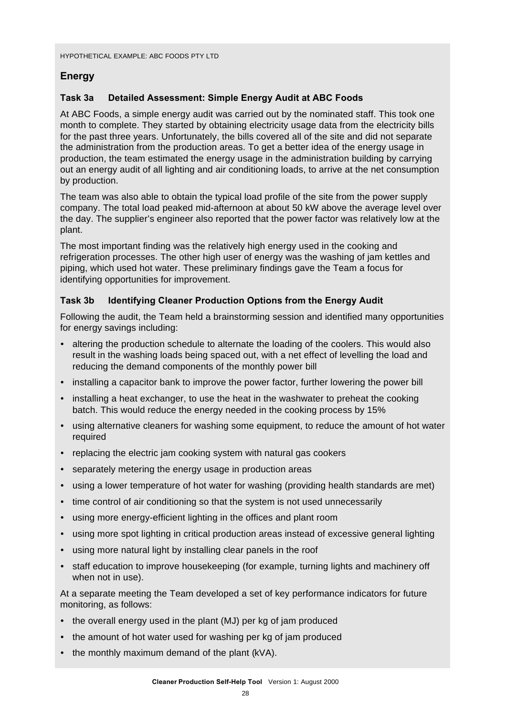#### **Energy**

#### **Task 3a Detailed Assessment: Simple Energy Audit at ABC Foods**

At ABC Foods, a simple energy audit was carried out by the nominated staff. This took one month to complete. They started by obtaining electricity usage data from the electricity bills for the past three years. Unfortunately, the bills covered all of the site and did not separate the administration from the production areas. To get a better idea of the energy usage in production, the team estimated the energy usage in the administration building by carrying out an energy audit of all lighting and air conditioning loads, to arrive at the net consumption by production.

The team was also able to obtain the typical load profile of the site from the power supply company. The total load peaked mid-afternoon at about 50 kW above the average level over the day. The supplier's engineer also reported that the power factor was relatively low at the plant.

The most important finding was the relatively high energy used in the cooking and refrigeration processes. The other high user of energy was the washing of jam kettles and piping, which used hot water. These preliminary findings gave the Team a focus for identifying opportunities for improvement.

#### **Task 3b Identifying Cleaner Production Options from the Energy Audit**

Following the audit, the Team held a brainstorming session and identified many opportunities for energy savings including:

- altering the production schedule to alternate the loading of the coolers. This would also result in the washing loads being spaced out, with a net effect of levelling the load and reducing the demand components of the monthly power bill
- installing a capacitor bank to improve the power factor, further lowering the power bill
- installing a heat exchanger, to use the heat in the washwater to preheat the cooking batch. This would reduce the energy needed in the cooking process by 15%
- ü using alternative cleaners for washing some equipment, to reduce the amount of hot water required
- replacing the electric jam cooking system with natural gas cookers
- separately metering the energy usage in production areas
- using a lower temperature of hot water for washing (providing health standards are met)
- time control of air conditioning so that the system is not used unnecessarily
- using more energy-efficient lighting in the offices and plant room
- using more spot lighting in critical production areas instead of excessive general lighting
- using more natural light by installing clear panels in the roof
- staff education to improve housekeeping (for example, turning lights and machinery off when not in use).

At a separate meeting the Team developed a set of key performance indicators for future monitoring, as follows:

- the overall energy used in the plant (MJ) per kg of jam produced
- the amount of hot water used for washing per kg of jam produced
- $\cdot$  the monthly maximum demand of the plant (kVA).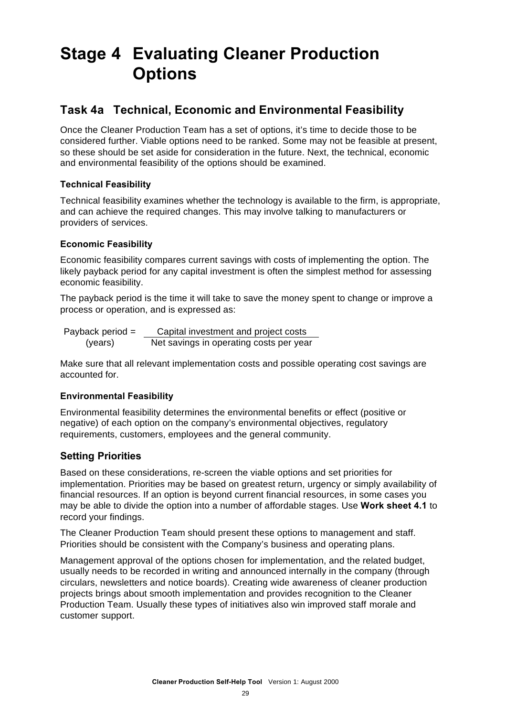### **Stage 4 Evaluating Cleaner Production Options**

#### **Task 4a Technical, Economic and Environmental Feasibility**

Once the Cleaner Production Team has a set of options, it's time to decide those to be considered further. Viable options need to be ranked. Some may not be feasible at present, so these should be set aside for consideration in the future. Next, the technical, economic and environmental feasibility of the options should be examined.

#### **Technical Feasibility**

Technical feasibility examines whether the technology is available to the firm, is appropriate, and can achieve the required changes. This may involve talking to manufacturers or providers of services.

#### **Economic Feasibility**

Economic feasibility compares current savings with costs of implementing the option. The likely payback period for any capital investment is often the simplest method for assessing economic feasibility.

The payback period is the time it will take to save the money spent to change or improve a process or operation, and is expressed as:

Payback period = Capital investment and project costs (years) Net savings in operating costs per year

Make sure that all relevant implementation costs and possible operating cost savings are accounted for.

#### **Environmental Feasibility**

Environmental feasibility determines the environmental benefits or effect (positive or negative) of each option on the company's environmental objectives, regulatory requirements, customers, employees and the general community.

#### **Setting Priorities**

Based on these considerations, re-screen the viable options and set priorities for implementation. Priorities may be based on greatest return, urgency or simply availability of financial resources. If an option is beyond current financial resources, in some cases you may be able to divide the option into a number of affordable stages. Use **Work sheet 4.1** to record your findings.

The Cleaner Production Team should present these options to management and staff. Priorities should be consistent with the Company's business and operating plans.

Management approval of the options chosen for implementation, and the related budget, usually needs to be recorded in writing and announced internally in the company (through circulars, newsletters and notice boards). Creating wide awareness of cleaner production projects brings about smooth implementation and provides recognition to the Cleaner Production Team. Usually these types of initiatives also win improved staff morale and customer support.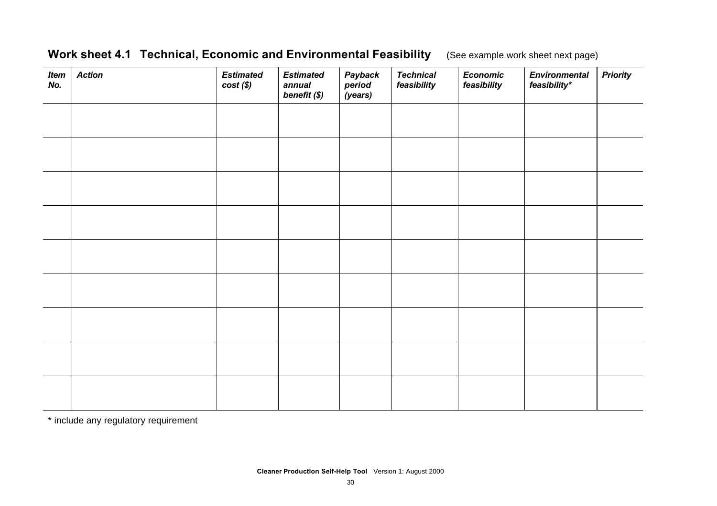#### **Work sheet 4.1 Technical, Economic and Environmental Feasibility** (See example work sheet next page)

| <b>Item</b><br>No. | <b>Action</b> | <b>Estimated</b><br>$cost(\$))$ | <b>Estimated</b><br>annual<br>benefit (\$) | Payback<br>period<br>(years) | <b>Technical</b><br>feasibility | <b>Economic</b><br>feasibility | <b>Environmental</b><br>feasibility* | <b>Priority</b> |
|--------------------|---------------|---------------------------------|--------------------------------------------|------------------------------|---------------------------------|--------------------------------|--------------------------------------|-----------------|
|                    |               |                                 |                                            |                              |                                 |                                |                                      |                 |
|                    |               |                                 |                                            |                              |                                 |                                |                                      |                 |
|                    |               |                                 |                                            |                              |                                 |                                |                                      |                 |
|                    |               |                                 |                                            |                              |                                 |                                |                                      |                 |
|                    |               |                                 |                                            |                              |                                 |                                |                                      |                 |
|                    |               |                                 |                                            |                              |                                 |                                |                                      |                 |
|                    |               |                                 |                                            |                              |                                 |                                |                                      |                 |
|                    |               |                                 |                                            |                              |                                 |                                |                                      |                 |
|                    |               |                                 |                                            |                              |                                 |                                |                                      |                 |

\* include any regulatory requirement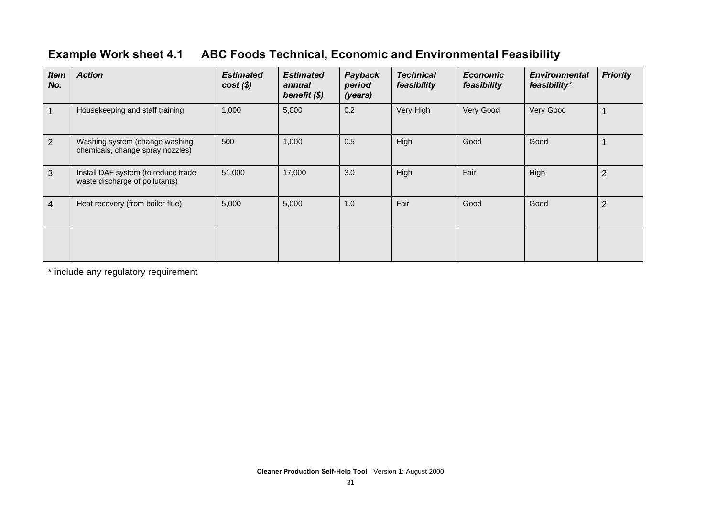#### **Example Work sheet 4.1 ABC Foods Technical, Economic and Environmental Feasibility**

| <b>Item</b><br>No. | <b>Action</b>                                                         | <b>Estimated</b><br>$cost(\$))$ | <b>Estimated</b><br>annual<br>benefit (\$) | Payback<br>period<br>(years) | <b>Technical</b><br>feasibility | <b>Economic</b><br>feasibility | <b>Environmental</b><br>feasibility* | <b>Priority</b> |
|--------------------|-----------------------------------------------------------------------|---------------------------------|--------------------------------------------|------------------------------|---------------------------------|--------------------------------|--------------------------------------|-----------------|
|                    | Housekeeping and staff training                                       | 1,000                           | 5,000                                      | 0.2                          | Very High                       | Very Good                      | Very Good                            |                 |
| $\overline{2}$     | Washing system (change washing<br>chemicals, change spray nozzles)    | 500                             | 1,000                                      | 0.5                          | High                            | Good                           | Good                                 |                 |
| 3                  | Install DAF system (to reduce trade<br>waste discharge of pollutants) | 51,000                          | 17,000                                     | 3.0                          | High                            | Fair                           | High                                 | $\overline{2}$  |
| $\overline{4}$     | Heat recovery (from boiler flue)                                      | 5,000                           | 5,000                                      | 1.0                          | Fair                            | Good                           | Good                                 | $\overline{2}$  |
|                    |                                                                       |                                 |                                            |                              |                                 |                                |                                      |                 |

\* include any regulatory requirement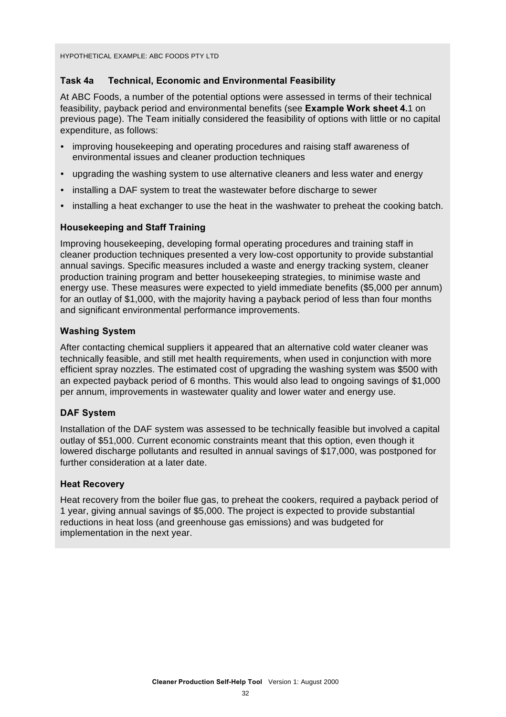#### **Task 4a Technical, Economic and Environmental Feasibility**

At ABC Foods, a number of the potential options were assessed in terms of their technical feasibility, payback period and environmental benefits (see **Example Work sheet 4.**1 on previous page). The Team initially considered the feasibility of options with little or no capital expenditure, as follows:

- ü improving housekeeping and operating procedures and raising staff awareness of environmental issues and cleaner production techniques
- upgrading the washing system to use alternative cleaners and less water and energy
- installing a DAF system to treat the wastewater before discharge to sewer
- installing a heat exchanger to use the heat in the washwater to preheat the cooking batch.

#### **Housekeeping and Staff Training**

Improving housekeeping, developing formal operating procedures and training staff in cleaner production techniques presented a very low-cost opportunity to provide substantial annual savings. Specific measures included a waste and energy tracking system, cleaner production training program and better housekeeping strategies, to minimise waste and energy use. These measures were expected to yield immediate benefits (\$5,000 per annum) for an outlay of \$1,000, with the majority having a payback period of less than four months and significant environmental performance improvements.

#### **Washing System**

After contacting chemical suppliers it appeared that an alternative cold water cleaner was technically feasible, and still met health requirements, when used in conjunction with more efficient spray nozzles. The estimated cost of upgrading the washing system was \$500 with an expected payback period of 6 months. This would also lead to ongoing savings of \$1,000 per annum, improvements in wastewater quality and lower water and energy use.

#### **DAF System**

Installation of the DAF system was assessed to be technically feasible but involved a capital outlay of \$51,000. Current economic constraints meant that this option, even though it lowered discharge pollutants and resulted in annual savings of \$17,000, was postponed for further consideration at a later date.

#### **Heat Recovery**

Heat recovery from the boiler flue gas, to preheat the cookers, required a payback period of 1 year, giving annual savings of \$5,000. The project is expected to provide substantial reductions in heat loss (and greenhouse gas emissions) and was budgeted for implementation in the next year.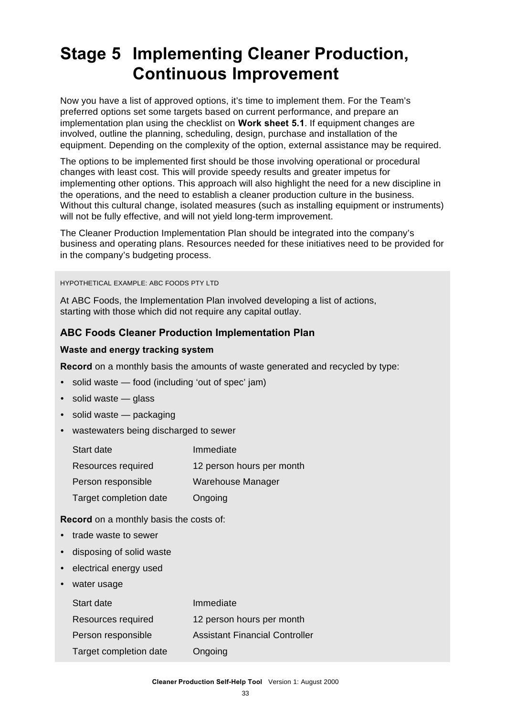### **Stage 5 Implementing Cleaner Production, Continuous Improvement**

Now you have a list of approved options, it's time to implement them. For the Team's preferred options set some targets based on current performance, and prepare an implementation plan using the checklist on **Work sheet 5.1**. If equipment changes are involved, outline the planning, scheduling, design, purchase and installation of the equipment. Depending on the complexity of the option, external assistance may be required.

The options to be implemented first should be those involving operational or procedural changes with least cost. This will provide speedy results and greater impetus for implementing other options. This approach will also highlight the need for a new discipline in the operations, and the need to establish a cleaner production culture in the business. Without this cultural change, isolated measures (such as installing equipment or instruments) will not be fully effective, and will not yield long-term improvement.

The Cleaner Production Implementation Plan should be integrated into the company's business and operating plans. Resources needed for these initiatives need to be provided for in the company's budgeting process.

#### HYPOTHETICAL EXAMPLE: ABC FOODS PTY LTD

At ABC Foods, the Implementation Plan involved developing a list of actions, starting with those which did not require any capital outlay.

#### **ABC Foods Cleaner Production Implementation Plan**

#### **Waste and energy tracking system**

**Record** on a monthly basis the amounts of waste generated and recycled by type:

- solid waste food (including 'out of spec' jam)
- $\cdot$  solid waste glass
- solid waste packaging
- wastewaters being discharged to sewer

| Start date             | Immediate                 |
|------------------------|---------------------------|
| Resources required     | 12 person hours per month |
| Person responsible     | Warehouse Manager         |
| Target completion date | Ongoing                   |

**Record** on a monthly basis the costs of:

- trade waste to sewer
- disposing of solid waste
- electrical energy used
- water usage

| Start date             | Immediate                             |
|------------------------|---------------------------------------|
| Resources required     | 12 person hours per month             |
| Person responsible     | <b>Assistant Financial Controller</b> |
| Target completion date | Ongoing                               |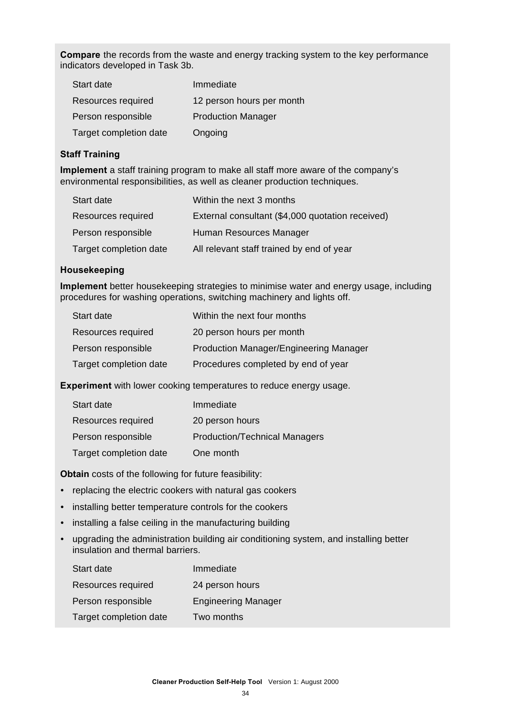**Compare** the records from the waste and energy tracking system to the key performance indicators developed in Task 3b.

| Start date             | Immediate                 |
|------------------------|---------------------------|
| Resources required     | 12 person hours per month |
| Person responsible     | <b>Production Manager</b> |
| Target completion date | Ongoing                   |

#### **Staff Training**

**Implement** a staff training program to make all staff more aware of the company's environmental responsibilities, as well as cleaner production techniques.

| Start date             | Within the next 3 months                         |
|------------------------|--------------------------------------------------|
| Resources required     | External consultant (\$4,000 quotation received) |
| Person responsible     | Human Resources Manager                          |
| Target completion date | All relevant staff trained by end of year        |

#### **Housekeeping**

**Implement** better housekeeping strategies to minimise water and energy usage, including procedures for washing operations, switching machinery and lights off.

| Start date             | Within the next four months                   |
|------------------------|-----------------------------------------------|
| Resources required     | 20 person hours per month                     |
| Person responsible     | <b>Production Manager/Engineering Manager</b> |
| Target completion date | Procedures completed by end of year           |

**Experiment** with lower cooking temperatures to reduce energy usage.

| Start date             | Immediate                            |
|------------------------|--------------------------------------|
| Resources required     | 20 person hours                      |
| Person responsible     | <b>Production/Technical Managers</b> |
| Target completion date | One month                            |

**Obtain** costs of the following for future feasibility:

- replacing the electric cookers with natural gas cookers
- installing better temperature controls for the cookers
- installing a false ceiling in the manufacturing building
- upgrading the administration building air conditioning system, and installing better insulation and thermal barriers.

| Start date             | Immediate                  |
|------------------------|----------------------------|
| Resources required     | 24 person hours            |
| Person responsible     | <b>Engineering Manager</b> |
| Target completion date | Two months                 |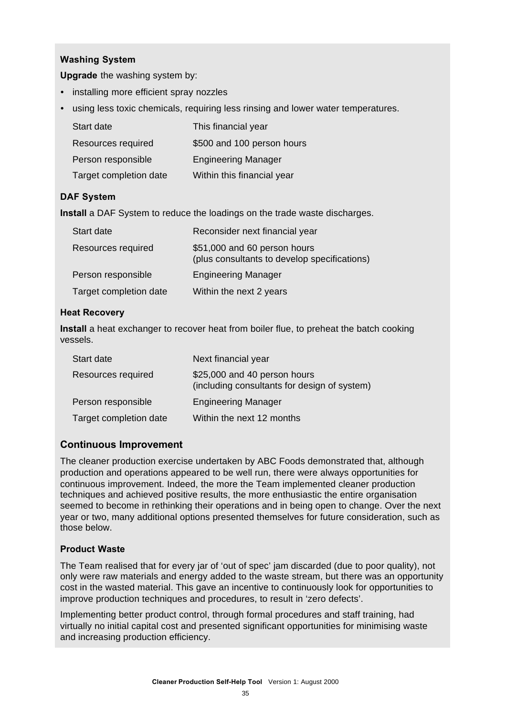#### **Washing System**

**Upgrade** the washing system by:

- installing more efficient spray nozzles
- using less toxic chemicals, requiring less rinsing and lower water temperatures.

| Start date             | This financial year        |
|------------------------|----------------------------|
| Resources required     | \$500 and 100 person hours |
| Person responsible     | <b>Engineering Manager</b> |
| Target completion date | Within this financial year |

#### **DAF System**

**Install** a DAF System to reduce the loadings on the trade waste discharges.

| Start date             | Reconsider next financial year                                               |
|------------------------|------------------------------------------------------------------------------|
| Resources required     | \$51,000 and 60 person hours<br>(plus consultants to develop specifications) |
| Person responsible     | <b>Engineering Manager</b>                                                   |
| Target completion date | Within the next 2 years                                                      |

#### **Heat Recovery**

**Install** a heat exchanger to recover heat from boiler flue, to preheat the batch cooking vessels.

| Start date             | Next financial year                                                          |
|------------------------|------------------------------------------------------------------------------|
| Resources required     | \$25,000 and 40 person hours<br>(including consultants for design of system) |
| Person responsible     | <b>Engineering Manager</b>                                                   |
| Target completion date | Within the next 12 months                                                    |

#### **Continuous Improvement**

The cleaner production exercise undertaken by ABC Foods demonstrated that, although production and operations appeared to be well run, there were always opportunities for continuous improvement. Indeed, the more the Team implemented cleaner production techniques and achieved positive results, the more enthusiastic the entire organisation seemed to become in rethinking their operations and in being open to change. Over the next year or two, many additional options presented themselves for future consideration, such as those below.

#### **Product Waste**

The Team realised that for every jar of 'out of spec' jam discarded (due to poor quality), not only were raw materials and energy added to the waste stream, but there was an opportunity cost in the wasted material. This gave an incentive to continuously look for opportunities to improve production techniques and procedures, to result in 'zero defects'.

Implementing better product control, through formal procedures and staff training, had virtually no initial capital cost and presented significant opportunities for minimising waste and increasing production efficiency.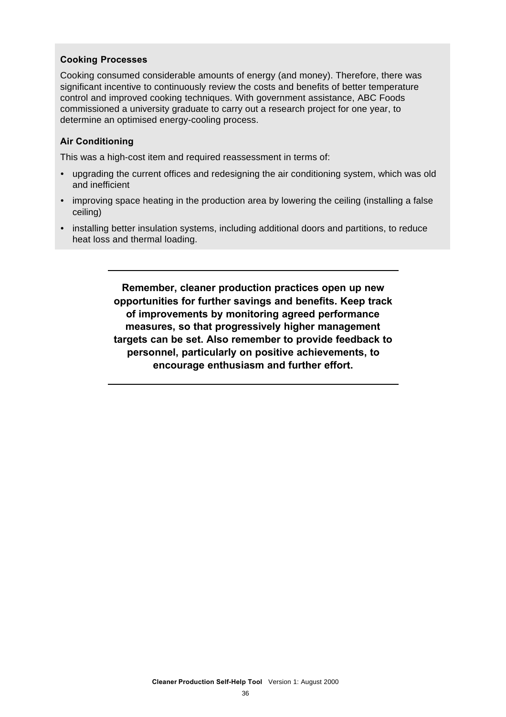#### **Cooking Processes**

Cooking consumed considerable amounts of energy (and money). Therefore, there was significant incentive to continuously review the costs and benefits of better temperature control and improved cooking techniques. With government assistance, ABC Foods commissioned a university graduate to carry out a research project for one year, to determine an optimised energy-cooling process.

#### **Air Conditioning**

This was a high-cost item and required reassessment in terms of:

- upgrading the current offices and redesigning the air conditioning system, which was old and inefficient
- improving space heating in the production area by lowering the ceiling (installing a false ceiling)
- installing better insulation systems, including additional doors and partitions, to reduce heat loss and thermal loading.

**Remember, cleaner production practices open up new opportunities for further savings and benefits. Keep track of improvements by monitoring agreed performance measures, so that progressively higher management targets can be set. Also remember to provide feedback to personnel, particularly on positive achievements, to encourage enthusiasm and further effort.**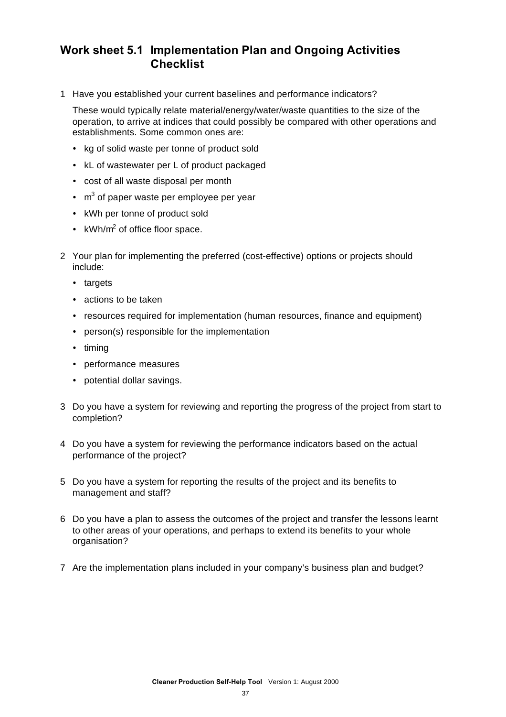#### **Work sheet 5.1 Implementation Plan and Ongoing Activities Checklist**

1 Have you established your current baselines and performance indicators?

These would typically relate material/energy/water/waste quantities to the size of the operation, to arrive at indices that could possibly be compared with other operations and establishments. Some common ones are:

- kg of solid waste per tonne of product sold
- kL of wastewater per L of product packaged
- cost of all waste disposal per month
- $\cdot$  m<sup>3</sup> of paper waste per employee per year
- kWh per tonne of product sold
- kWh/ $m^2$  of office floor space.
- 2 Your plan for implementing the preferred (cost-effective) options or projects should include:
	- targets
	- actions to be taken
	- resources required for implementation (human resources, finance and equipment)
	- person(s) responsible for the implementation
	- $\cdot$  timing
	- performance measures
	- potential dollar savings.
- 3 Do you have a system for reviewing and reporting the progress of the project from start to completion?
- 4 Do you have a system for reviewing the performance indicators based on the actual performance of the project?
- 5 Do you have a system for reporting the results of the project and its benefits to management and staff?
- 6 Do you have a plan to assess the outcomes of the project and transfer the lessons learnt to other areas of your operations, and perhaps to extend its benefits to your whole organisation?
- 7 Are the implementation plans included in your company's business plan and budget?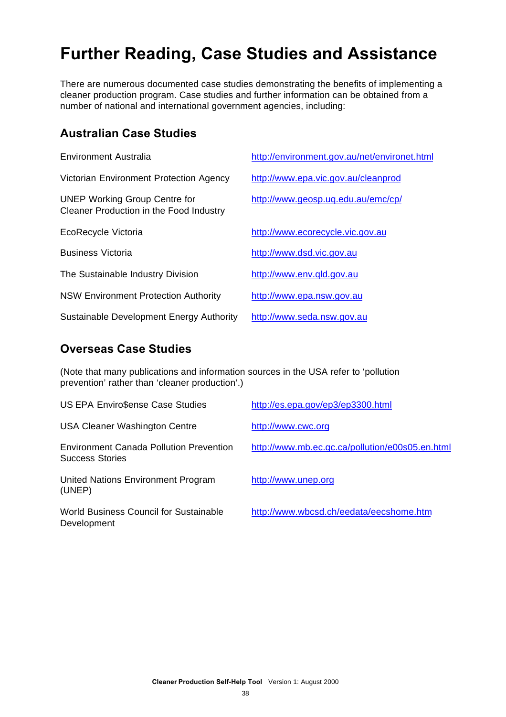### **Further Reading, Case Studies and Assistance**

There are numerous documented case studies demonstrating the benefits of implementing a cleaner production program. Case studies and further information can be obtained from a number of national and international government agencies, including:

#### **Australian Case Studies**

| Environment Australia                                                           | http://environment.gov.au/net/environet.html |
|---------------------------------------------------------------------------------|----------------------------------------------|
| Victorian Environment Protection Agency                                         | http://www.epa.vic.gov.au/cleanprod          |
| <b>UNEP Working Group Centre for</b><br>Cleaner Production in the Food Industry | http://www.geosp.uq.edu.au/emc/cp/           |
| EcoRecycle Victoria                                                             | http://www.ecorecycle.vic.gov.au             |
| <b>Business Victoria</b>                                                        | http://www.dsd.vic.gov.au                    |
| The Sustainable Industry Division                                               | http://www.env.qld.gov.au                    |
| <b>NSW Environment Protection Authority</b>                                     | http://www.epa.nsw.gov.au                    |
| Sustainable Development Energy Authority                                        | http://www.seda.nsw.gov.au                   |

#### **Overseas Case Studies**

(Note that many publications and information sources in the USA refer to 'pollution prevention' rather than 'cleaner production'.)

| <b>US EPA Enviro\$ense Case Studies</b>                                  | http://es.epa.gov/ep3/ep3300.html               |
|--------------------------------------------------------------------------|-------------------------------------------------|
| <b>USA Cleaner Washington Centre</b>                                     | http://www.cwc.org                              |
| <b>Environment Canada Pollution Prevention</b><br><b>Success Stories</b> | http://www.mb.ec.gc.ca/pollution/e00s05.en.html |
| United Nations Environment Program<br>(UNEP)                             | http://www.unep.org                             |
| <b>World Business Council for Sustainable</b><br>Development             | http://www.wbcsd.ch/eedata/eecshome.htm         |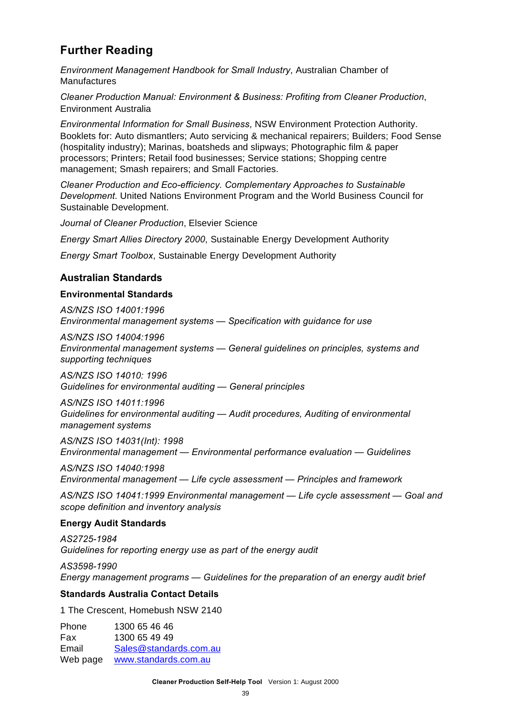#### **Further Reading**

*Environment Management Handbook for Small Industry*, Australian Chamber of **Manufactures** 

*Cleaner Production Manual: Environment & Business: Profiting from Cleaner Production*, Environment Australia

*Environmental Information for Small Business*, NSW Environment Protection Authority. Booklets for: Auto dismantlers; Auto servicing & mechanical repairers; Builders; Food Sense (hospitality industry); Marinas, boatsheds and slipways; Photographic film & paper processors; Printers; Retail food businesses; Service stations; Shopping centre management; Smash repairers; and Small Factories.

*Cleaner Production and Eco-efficiency. Complementary Approaches to Sustainable Development*. United Nations Environment Program and the World Business Council for Sustainable Development.

*Journal of Cleaner Production*, Elsevier Science

*Energy Smart Allies Directory 2000*, Sustainable Energy Development Authority

*Energy Smart Toolbox*, Sustainable Energy Development Authority

#### **Australian Standards**

#### **Environmental Standards**

*AS/NZS ISO 14001:1996 Environmental management systems — Specification with guidance for use*

*AS/NZS ISO 14004:1996 Environmental management systems — General guidelines on principles, systems and supporting techniques*

*AS/NZS ISO 14010: 1996 Guidelines for environmental auditing — General principles*

*AS/NZS ISO 14011:1996 Guidelines for environmental auditing — Audit procedures, Auditing of environmental management systems*

*AS/NZS ISO 14031(Int): 1998 Environmental management — Environmental performance evaluation — Guidelines*

*AS/NZS ISO 14040:1998 Environmental management — Life cycle assessment — Principles and framework*

*AS/NZS ISO 14041:1999 Environmental management — Life cycle assessment — Goal and scope definition and inventory analysis*

#### **Energy Audit Standards**

*AS2725-1984 Guidelines for reporting energy use as part of the energy audit*

*AS3598-1990 Energy management programs — Guidelines for the preparation of an energy audit brief*

#### **Standards Australia Contact Details**

1 The Crescent, Homebush NSW 2140

Phone 1300 65 46 46 Fax 1300 65 49 49 Email Sales@standards.com.au Web page www.standards.com.au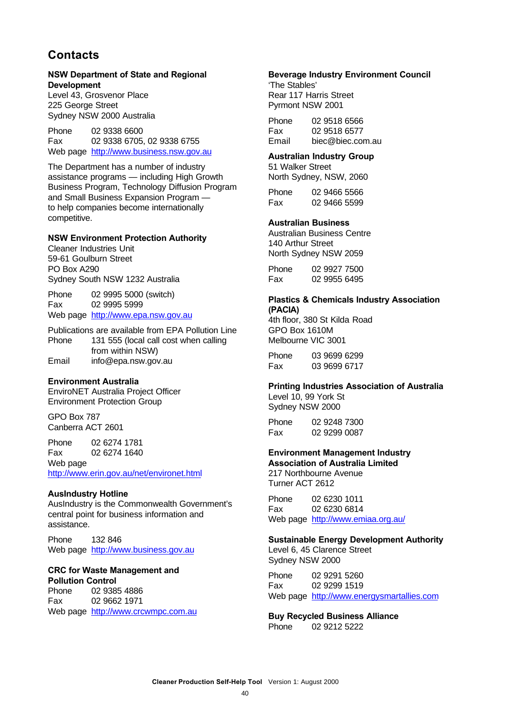#### **Contacts**

#### **NSW Department of State and Regional Development**

Level 43, Grosvenor Place 225 George Street Sydney NSW 2000 Australia

Phone 02 9338 6600 Fax 02 9338 6705, 02 9338 6755 Web page http://www.business.nsw.gov.au

The Department has a number of industry assistance programs — including High Growth Business Program, Technology Diffusion Program and Small Business Expansion Program to help companies become internationally competitive.

#### **NSW Environment Protection Authority**

Cleaner Industries Unit 59-61 Goulburn Street PO Box A290 Sydney South NSW 1232 Australia

Phone 02 9995 5000 (switch) Fax 02 9995 5999 Web page http://www.epa.nsw.gov.au

Publications are available from EPA Pollution Line Phone 131 555 (local call cost when calling from within NSW) Email info@epa.nsw.gov.au

#### **Environment Australia**

EnviroNET Australia Project Officer Environment Protection Group

GPO Box 787 Canberra ACT 2601

Phone 02 6274 1781 Fax 02 6274 1640

Web page

http://www.erin.gov.au/net/environet.html

#### **AusIndustry Hotline**

AusIndustry is the Commonwealth Government's central point for business information and assistance.

Phone 132 846 Web page http://www.business.gov.au

#### **CRC for Waste Management and**

**Pollution Control** Phone 02 9385 4886 Fax 02 9662 1971 Web page http://www.crcwmpc.com.au

#### **Beverage Industry Environment Council**

'The Stables' Rear 117 Harris Street Pyrmont NSW 2001

| Phone | 02 9518 6566     |
|-------|------------------|
| Fax   | 02 9518 6577     |
| Email | biec@biec.com.au |

#### **Australian Industry Group**

51 Walker Street North Sydney, NSW, 2060

Phone 02 9466 5566 Fax 02 9466 5599

#### **Australian Business**

Australian Business Centre 140 Arthur Street North Sydney NSW 2059

| Phone | 02 9927 7500 |
|-------|--------------|
| Fax   | 02 9955 6495 |

#### **Plastics & Chemicals Industry Association (PACIA)**

4th floor, 380 St Kilda Road GPO Box 1610M Melbourne VIC 3001

Phone 03 9699 6299 Fax 03 9699 6717

#### **Printing Industries Association of Australia**

Level 10, 99 York St Sydney NSW 2000

Phone 02 9248 7300 Fax 02 9299 0087

#### **Environment Management Industry**

**Association of Australia Limited** 217 Northbourne Avenue Turner ACT 2612

Phone 02 6230 1011 Fax 02 6230 6814 Web page http://www.emiaa.org.au/

#### **Sustainable Energy Development Authority**

Level 6, 45 Clarence Street Sydney NSW 2000

Phone 02 9291 5260 Fax 02 9299 1519 Web page http://www.energysmartallies.com

**Buy Recycled Business Alliance** Phone 02 9212 5222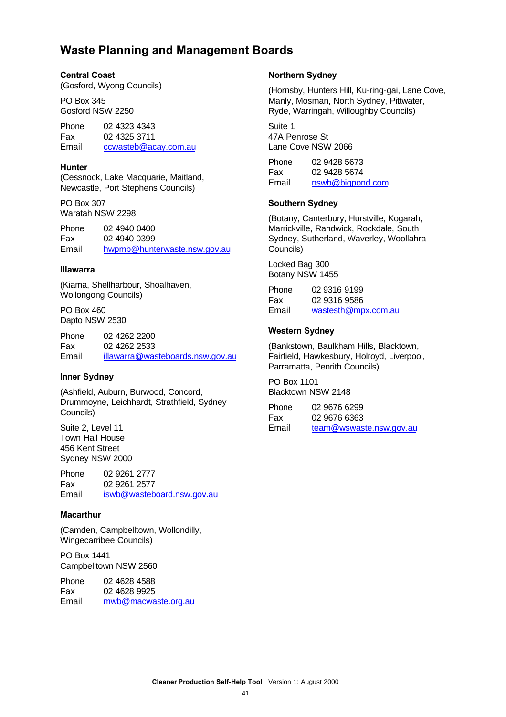#### **Waste Planning and Management Boards**

#### **Central Coast**

(Gosford, Wyong Councils)

PO Box 345 Gosford NSW 2250

Phone 02 4323 4343 Fax 02 4325 3711 Email ccwasteb@acay.com.au

#### **Hunter**

(Cessnock, Lake Macquarie, Maitland, Newcastle, Port Stephens Councils)

PO Box 307 Waratah NSW 2298

Phone 02 4940 0400 Fax 02 4940 0399 Email hwpmb@hunterwaste.nsw.gov.au

#### **Illawarra**

(Kiama, Shellharbour, Shoalhaven, Wollongong Councils)

PO Box 460 Dapto NSW 2530

Phone 02 4262 2200 Fax 02 4262 2533 Email illawarra@wasteboards.nsw.gov.au

#### **Inner Sydney**

(Ashfield, Auburn, Burwood, Concord, Drummoyne, Leichhardt, Strathfield, Sydney Councils)

Suite 2, Level 11 Town Hall House 456 Kent Street Sydney NSW 2000

Phone 02 9261 2777 Fax 02 9261 2577 Email iswb@wasteboard.nsw.gov.au

#### **Macarthur**

(Camden, Campbelltown, Wollondilly, Wingecarribee Councils)

PO Box 1441 Campbelltown NSW 2560

Phone 02 4628 4588 Fax 02 4628 9925 Email mwb@macwaste.org.au

#### **Northern Sydney**

(Hornsby, Hunters Hill, Ku-ring-gai, Lane Cove, Manly, Mosman, North Sydney, Pittwater, Ryde, Warringah, Willoughby Councils)

Suite 1 47A Penrose St Lane Cove NSW 2066

Phone 02 9428 5673 Fax 02 9428 5674 Email nswb@bigpond.com

#### **Southern Sydney**

(Botany, Canterbury, Hurstville, Kogarah, Marrickville, Randwick, Rockdale, South Sydney, Sutherland, Waverley, Woollahra Councils)

Locked Bag 300 Botany NSW 1455

| Phone | 02 9316 9199        |
|-------|---------------------|
| Fax   | 02 9316 9586        |
| Email | wastesth@mpx.com.au |

#### **Western Sydney**

(Bankstown, Baulkham Hills, Blacktown, Fairfield, Hawkesbury, Holroyd, Liverpool, Parramatta, Penrith Councils)

PO Box 1101 Blacktown NSW 2148

| Phone | 02 9676 6299            |
|-------|-------------------------|
| Fax   | 02 9676 6363            |
| Email | team@wswaste.nsw.gov.au |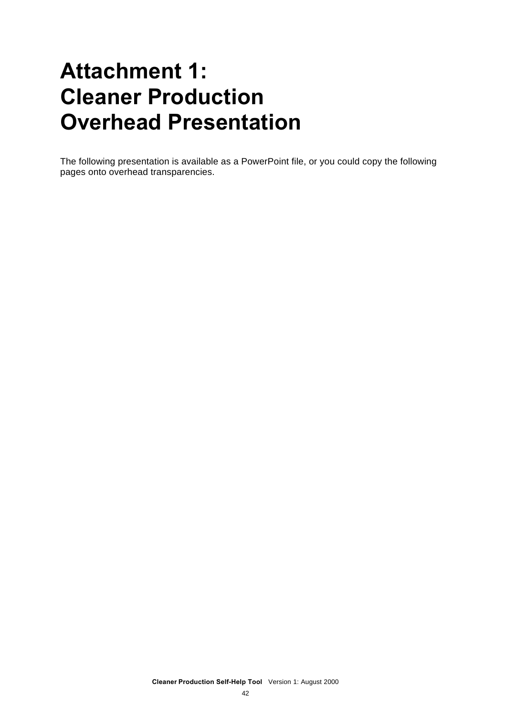### **Attachment 1: Cleaner Production Overhead Presentation**

The following presentation is available as a PowerPoint file, or you could copy the following pages onto overhead transparencies.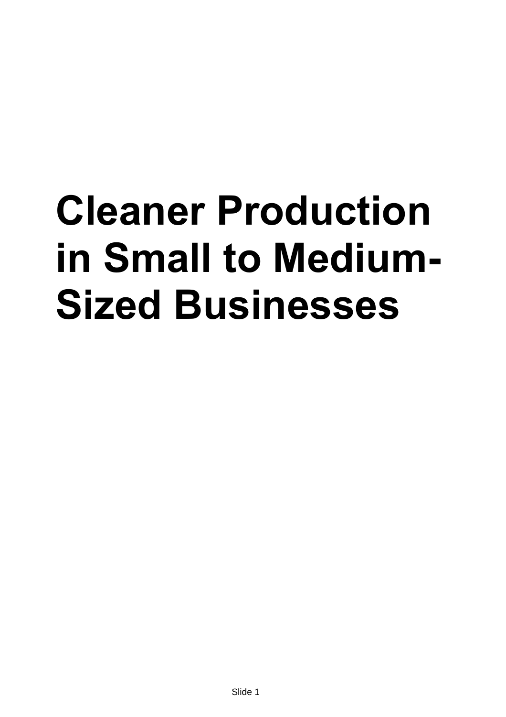# **Cleaner Production in Small to Medium-Sized Businesses**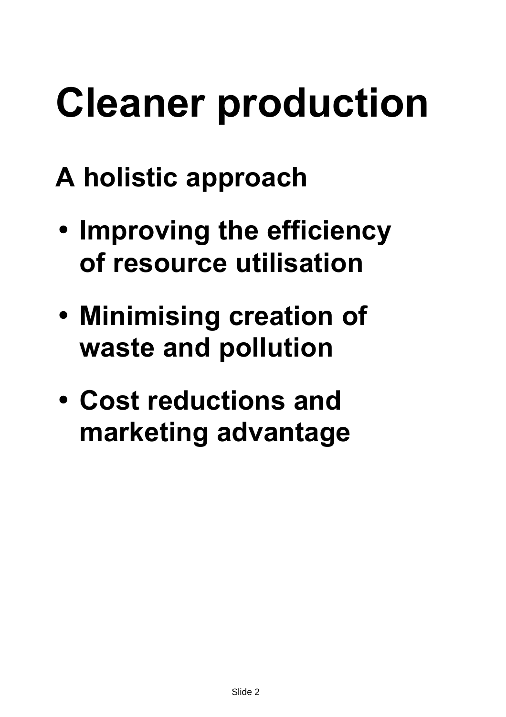- **A holistic approach**
- **Improving the efficiency of resource utilisation**
- **Minimising creation of waste and pollution**
- **Cost reductions and marketing advantage**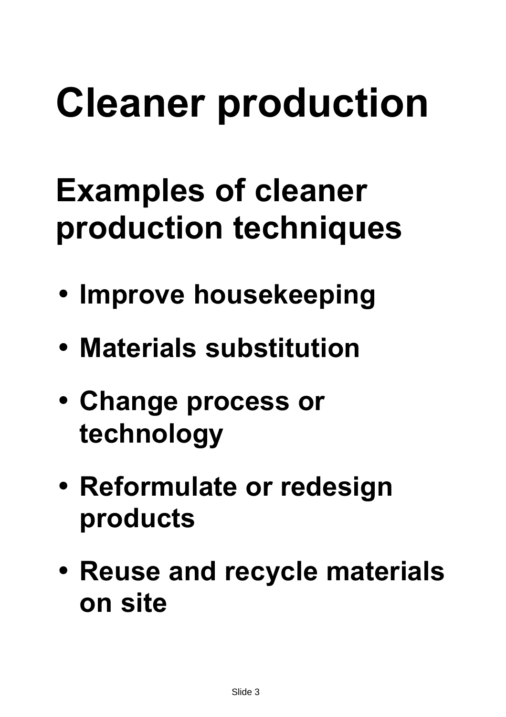## **Examples of cleaner production techniques**

- **Improve housekeeping**
- **Materials substitution**
- **Change process or technology**
- **Reformulate or redesign products**
- **Reuse and recycle materials on site**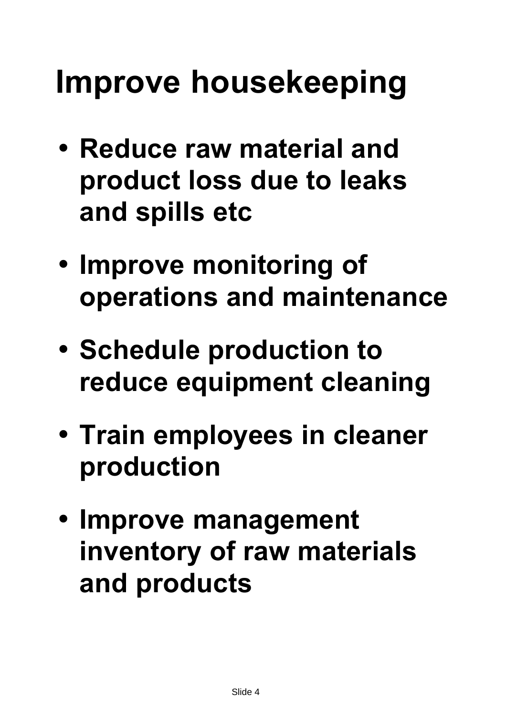## **Improve housekeeping**

- **Reduce raw material and product loss due to leaks and spills etc**
- **Improve monitoring of operations and maintenance**
- **Schedule production to reduce equipment cleaning**
- **Train employees in cleaner production**
- **Improve management inventory of raw materials and products**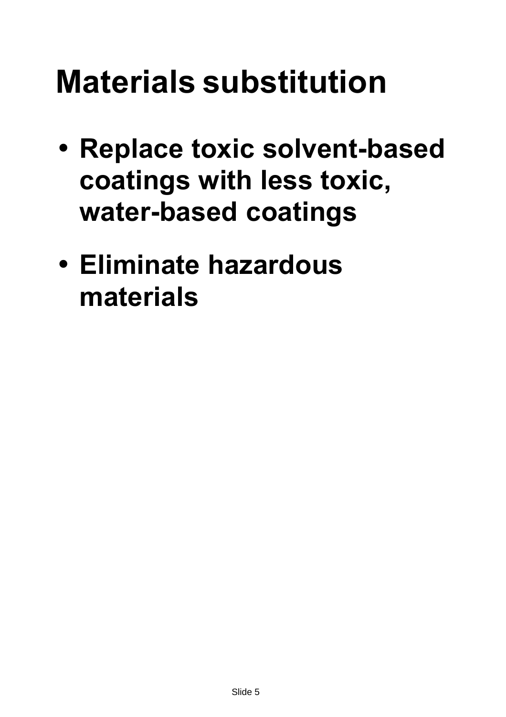## **Materials substitution**

- **Replace toxic solvent-based coatings with less toxic, water-based coatings**
- **Eliminate hazardous materials**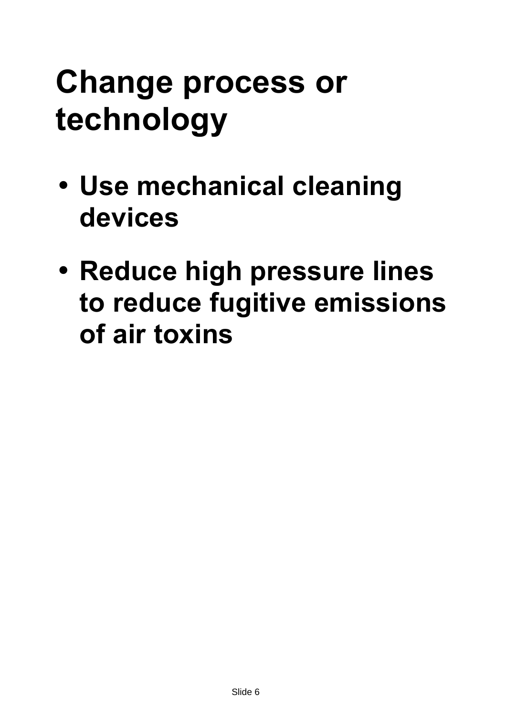## **Change process or technology**

- **Use mechanical cleaning devices**
- **Reduce high pressure lines to reduce fugitive emissions of air toxins**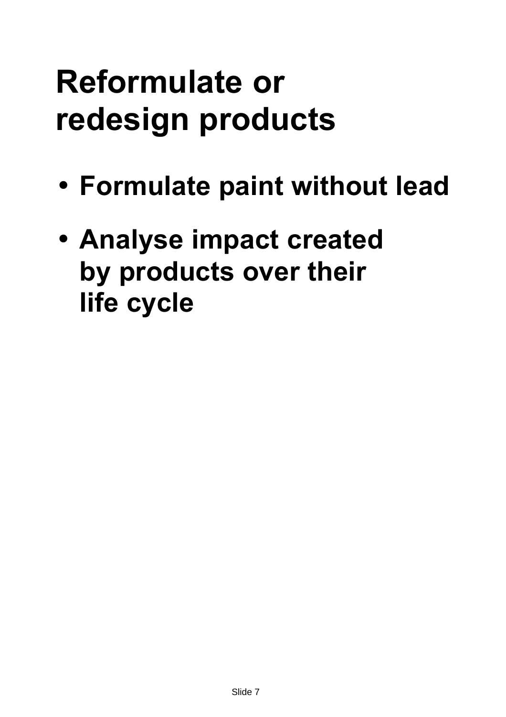## **Reformulate or redesign products**

- **Formulate paint without lead**
- **Analyse impact created by products over their life cycle**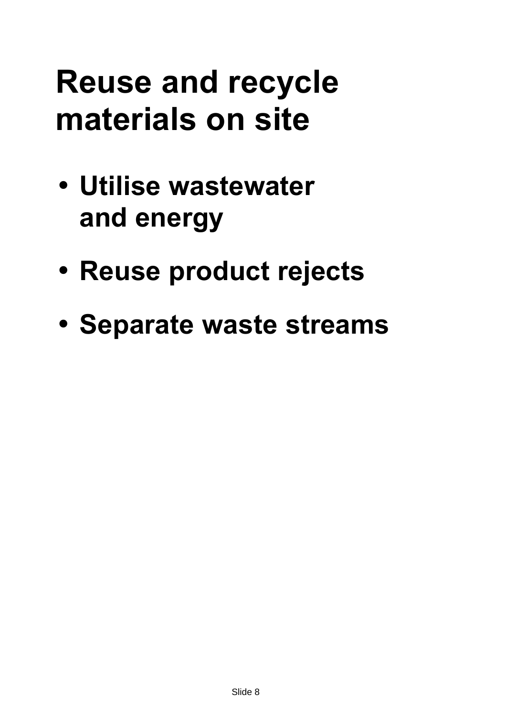## **Reuse and recycle materials on site**

- **Utilise wastewater and energy**
- **Reuse product rejects**
- **Separate waste streams**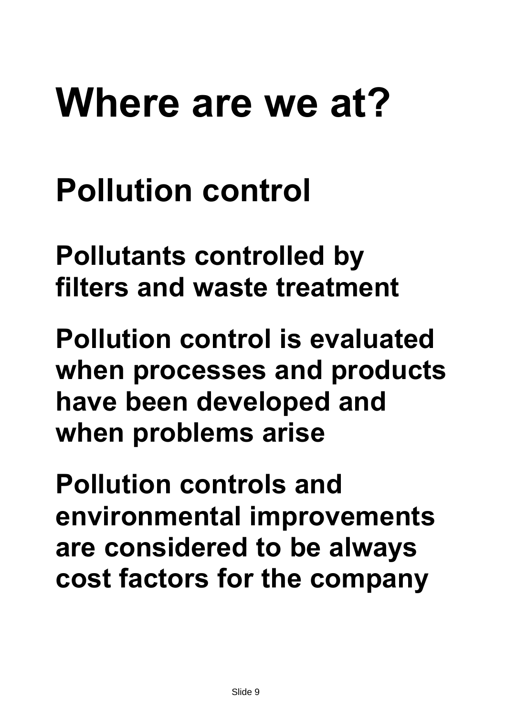# **Where are we at?**

## **Pollution control**

**Pollutants controlled by filters and waste treatment**

**Pollution control is evaluated when processes and products have been developed and when problems arise**

**Pollution controls and environmental improvements are considered to be always cost factors for the company**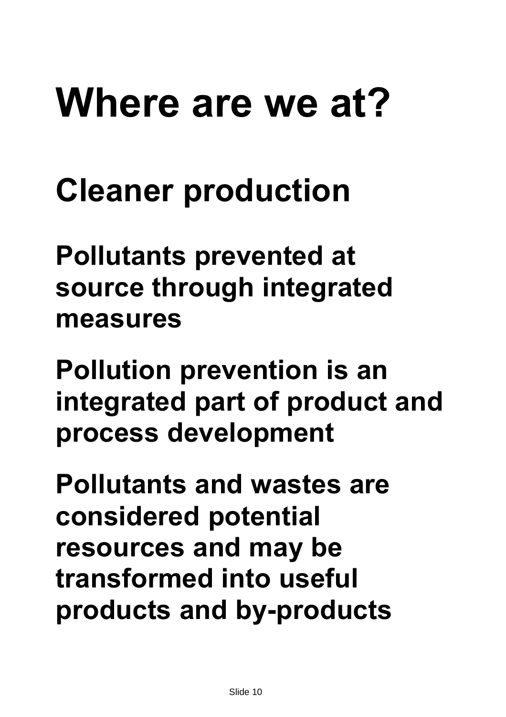# **Where are we at?**

## **Cleaner production**

**Pollutants prevented at source through integrated measures**

**Pollution prevention is an integrated part of product and process development**

**Pollutants and wastes are considered potential resources and may be transformed into useful products and by-products**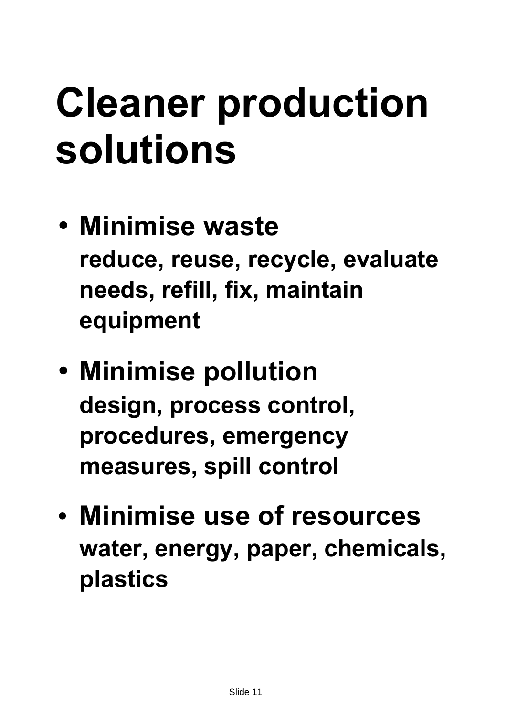# **Cleaner production solutions**

- **Minimise waste reduce, reuse, recycle, evaluate needs, refill, fix, maintain equipment**
- **Minimise pollution design, process control, procedures, emergency measures, spill control**
- **Minimise use of resources water, energy, paper, chemicals, plastics**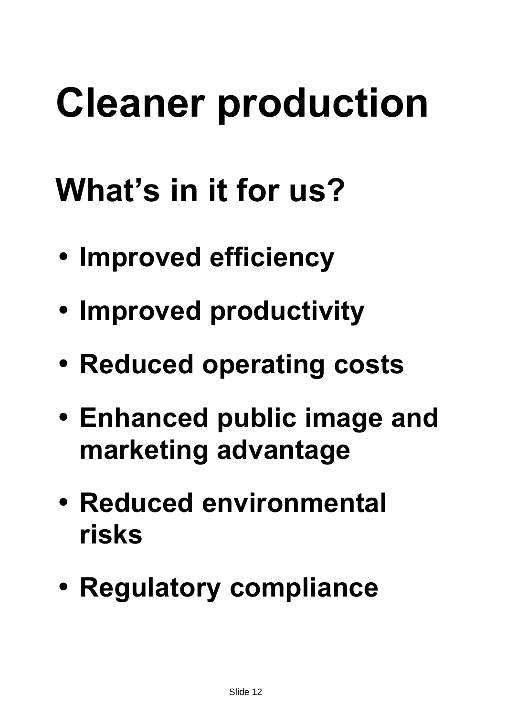## **What's in it for us?**

- **Improved efficiency**
- **Improved productivity**
- **Reduced operating costs**
- **Enhanced public image and marketing advantage**
- **Reduced environmental risks**
- **Regulatory compliance**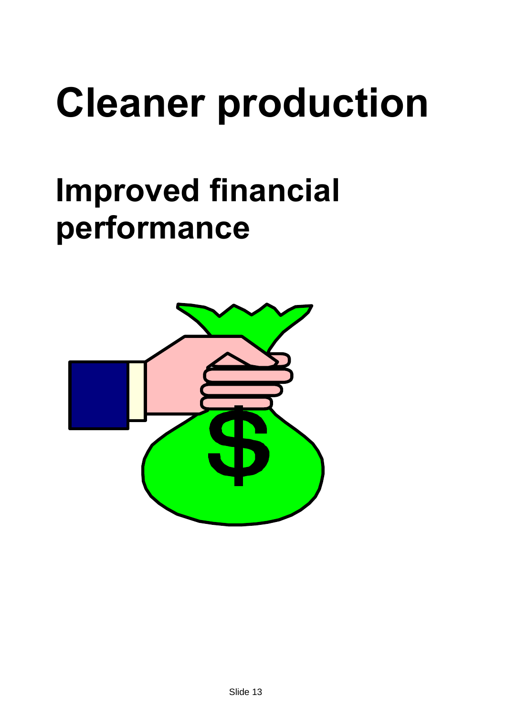## **Improved financial performance**

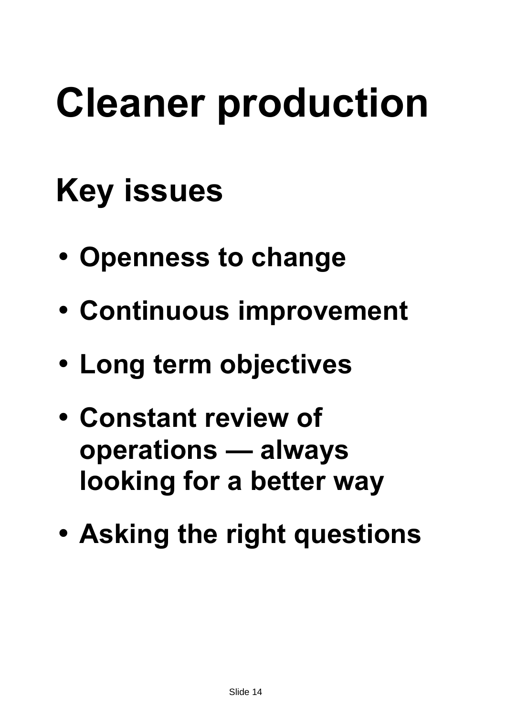## **Key issues**

- **Openness to change**
- **Continuous improvement**
- **Long term objectives**
- **Constant review of operations — always looking for a better way**
- **Asking the right questions**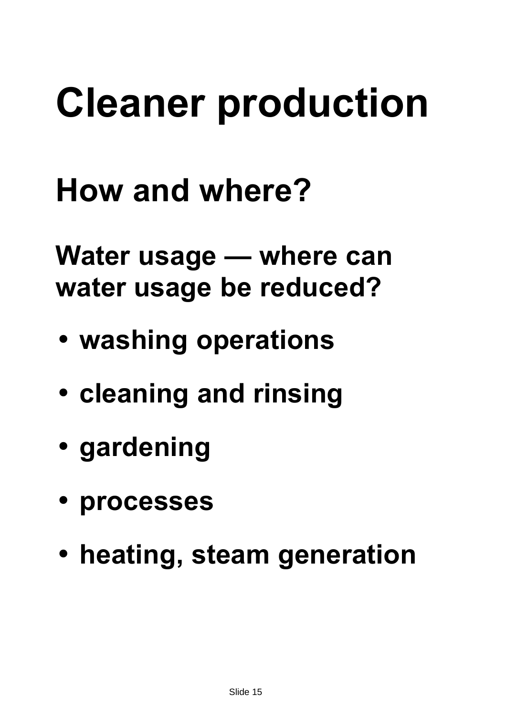## **How and where?**

**Water usage — where can water usage be reduced?**

- **washing operations**
- **cleaning and rinsing**
- **gardening**
- **processes**
- **heating, steam generation**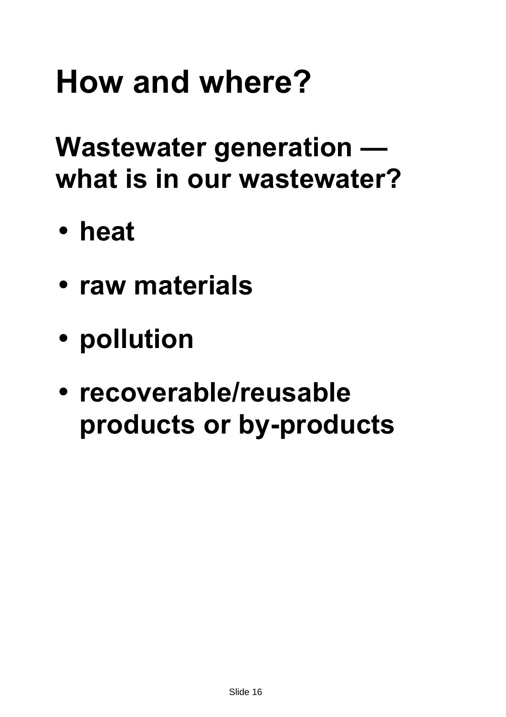**Wastewater generation what is in our wastewater?**

- **heat**
- **raw materials**
- **pollution**
- **recoverable/reusable products or by-products**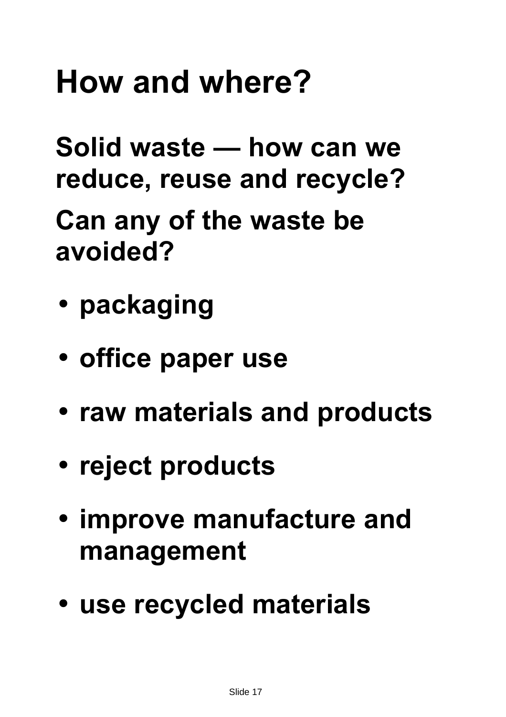**Solid waste — how can we reduce, reuse and recycle?**

**Can any of the waste be avoided?**

- **packaging**
- **office paper use**
- **raw materials and products**
- **reject products**
- **improve manufacture and management**
- **use recycled materials**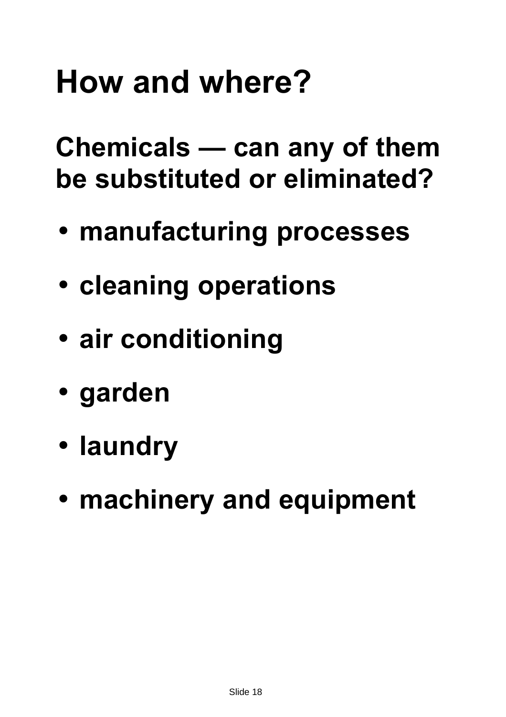**Chemicals — can any of them be substituted or eliminated?**

- **manufacturing processes**
- **cleaning operations**
- **air conditioning**
- **garden**
- **laundry**
- **machinery and equipment**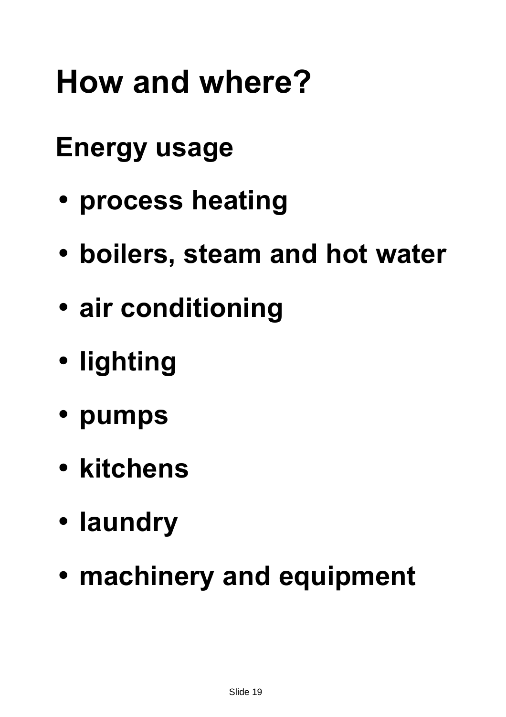### **Energy usage**

- **process heating**
- **boilers, steam and hot water**
- **air conditioning**
- **lighting**
- **pumps**
- **kitchens**
- **laundry**
- **machinery and equipment**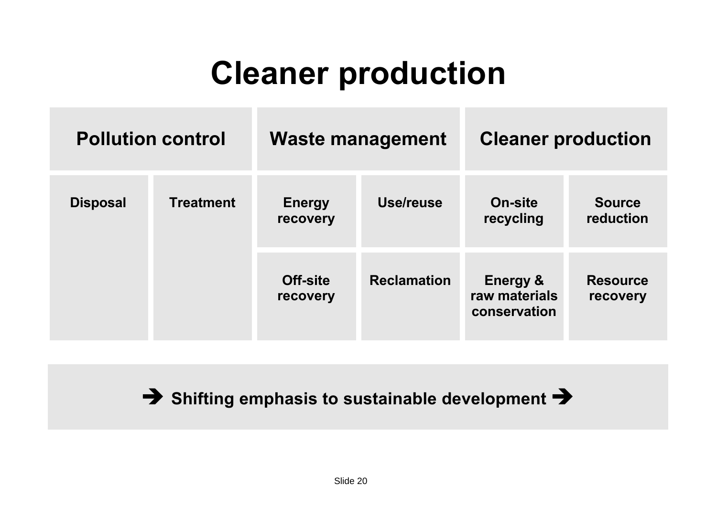|                 | <b>Pollution control</b> | <b>Waste management</b>     |                    | <b>Cleaner production</b>                            |                             |
|-----------------|--------------------------|-----------------------------|--------------------|------------------------------------------------------|-----------------------------|
| <b>Disposal</b> | <b>Treatment</b>         | <b>Energy</b><br>recovery   | Use/reuse          | <b>On-site</b><br>recycling                          | <b>Source</b><br>reduction  |
|                 |                          | <b>Off-site</b><br>recovery | <b>Reclamation</b> | <b>Energy &amp;</b><br>raw materials<br>conservation | <b>Resource</b><br>recovery |

**Ë Shifting emphasis to sustainable development Ë**